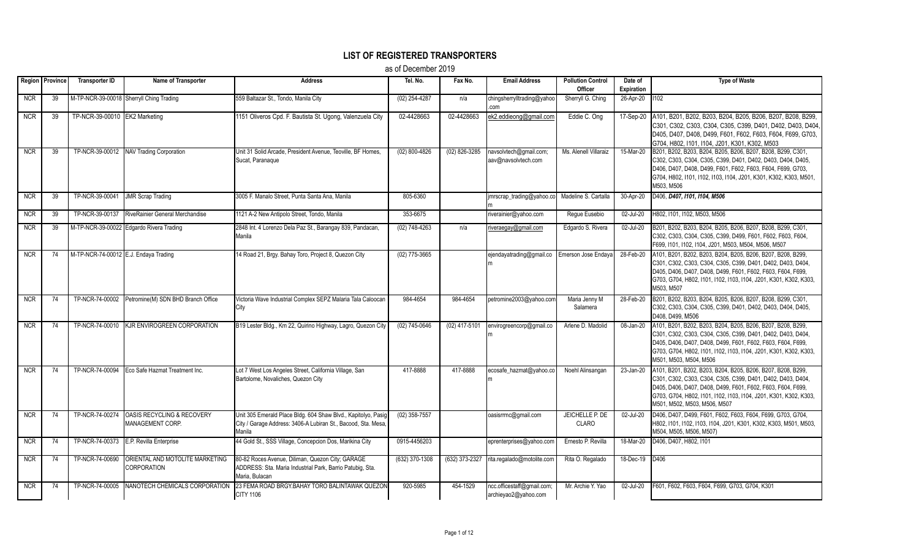## **LIST OF REGISTERED TRANSPORTERS**

as of December 2019

|            | Region Province | <b>Transporter ID</b>                 | Name of Transporter                                       | <b>Address</b>                                                                                                                           | Tel. No.          | Fax No.         | <b>Email Address</b>                               | <b>Pollution Control</b>        | Date of          | <b>Type of Waste</b>                                                                                                                                                                                                                                                                           |
|------------|-----------------|---------------------------------------|-----------------------------------------------------------|------------------------------------------------------------------------------------------------------------------------------------------|-------------------|-----------------|----------------------------------------------------|---------------------------------|------------------|------------------------------------------------------------------------------------------------------------------------------------------------------------------------------------------------------------------------------------------------------------------------------------------------|
|            |                 |                                       |                                                           |                                                                                                                                          |                   |                 |                                                    | Officer                         | Expiration       |                                                                                                                                                                                                                                                                                                |
| <b>NCR</b> | 39              |                                       | M-TP-NCR-39-00018 Sherryll Ching Trading                  | 559 Baltazar St., Tondo, Manila City                                                                                                     | $(02)$ 254-4287   | n/a             | chingsherrylltrading@yahoo<br>com                  | Sherryll G. Ching               | 26-Apr-20   1102 |                                                                                                                                                                                                                                                                                                |
| <b>NCR</b> | 39              | TP-NCR-39-00010 EK2 Marketing         |                                                           | 1151 Oliveros Cpd. F. Bautista St. Ugong, Valenzuela City                                                                                | 02-4428663        | 02-4428663      | ek2.eddieong@gmail.com                             | Eddie C. Ong                    |                  | 17-Sep-20   A101, B201, B202, B203, B204, B205, B206, B207, B208, B299,<br>C301, C302, C303, C304, C305, C399, D401, D402, D403, D404,<br>D405, D407, D408, D499, F601, F602, F603, F604, F699, G703,<br>G704, H802, I101, I104, J201, K301, K302, M503                                        |
| <b>NCR</b> | 39              |                                       | TP-NCR-39-00012 NAV Trading Corporation                   | Unit 31 Solid Arcade, President Avenue, Teoville, BF Homes,<br>Sucat. Paranague                                                          | $(02) 800 - 4826$ | $(02)$ 826-3285 | navsolvtech@gmail.com;<br>aav@navsolvtech.com      | Ms. Alenell Villaraiz           | 15-Mar-20        | B201, B202, B203, B204, B205, B206, B207, B208, B299, C301,<br>C302, C303, C304, C305, C399, D401, D402, D403, D404, D405,<br>D406, D407, D408, D499, F601, F602, F603, F604, F699, G703,<br>G704, H802, I101, I102, I103, I104, J201, K301, K302, K303, M501,<br>M503, M506                   |
| <b>NCR</b> | 39              | TP-NCR-39-00041                       | <b>JMR Scrap Trading</b>                                  | 3005 F. Manalo Street, Punta Santa Ana, Manila                                                                                           | 805-6360          |                 | jmrscrap_trading@yahoo.co                          | Madeline S. Cartalla            | 30-Apr-20        | D406, D407, I101, I104, M506                                                                                                                                                                                                                                                                   |
| <b>NCR</b> | 39              | TP-NCR-39-00137                       | RiveRainier General Merchandise                           | 1121 A-2 New Antipolo Street, Tondo, Manila                                                                                              | 353-6675          |                 | riverainier@yahoo.com                              | Reque Eusebio                   | 02-Jul-20        | H802, I101, I102, M503, M506                                                                                                                                                                                                                                                                   |
| <b>NCR</b> | 39              |                                       | M-TP-NCR-39-00022 Edgardo Rivera Trading                  | 2848 Int. 4 Lorenzo Dela Paz St., Barangay 839, Pandacan,<br>Manila                                                                      | (02) 748-4263     | n/a             | tiveraegay@gmail.com                               | Edgardo S. Rivera               | 02-Jul-20        | B201, B202, B203, B204, B205, B206, B207, B208, B299, C301,<br>C302, C303, C304, C305, C399, D499, F601, F602, F603, F604,<br>F699, I101, I102, I104, J201, M503, M504, M506, M507                                                                                                             |
| <b>NCR</b> | 74              | M-TP-NCR-74-00012 E.J. Endaya Trading |                                                           | 14 Road 21, Brgy. Bahay Toro, Project 8, Quezon City                                                                                     | $(02)$ 775-3665   |                 | ejendayatrading@gmail.co                           | Emerson Jose Endava             | 28-Feb-20        | A101, B201, B202, B203, B204, B205, B206, B207, B208, B299,<br>C301, C302, C303, C304, C305, C399, D401, D402, D403, D404,<br>D405, D406, D407, D408, D499, F601, F602, F603, F604, F699,<br>G703, G704, H802, I101, I102, I103, I104, J201, K301, K302, K303,<br>M503. M507                   |
| <b>NCR</b> | 74              |                                       | TP-NCR-74-00002 Petromine(M) SDN BHD Branch Office        | Victoria Wave Industrial Complex SEPZ Malaria Tala Caloocan<br>City                                                                      | 984-4654          | 984-4654        | petromine2003@yahoo.com                            | Maria Jenny M<br>Salamera       | 28-Feb-20        | B201, B202, B203, B204, B205, B206, B207, B208, B299, C301,<br>C302, C303, C304, C305, C399, D401, D402, D403, D404, D405,<br>D408, D499, M506                                                                                                                                                 |
| <b>NCR</b> | 74              |                                       | TP-NCR-74-00010 KJR ENVIROGREEN CORPORATION               | B19 Lester Bldg., Km 22, Quirino Highway, Lagro, Quezon City                                                                             | (02) 745-0646     | (02) 417-5101   | envirogreencorp@gmail.co                           | Arlene D. Madolid               | 08-Jan-20        | A101, B201, B202, B203, B204, B205, B206, B207, B208, B299,<br>C301, C302, C303, C304, C305, C399, D401, D402, D403, D404,<br>D405, D406, D407, D408, D499, F601, F602, F603, F604, F699,<br>G703, G704, H802, I101, I102, I103, I104, J201, K301, K302, K303,<br>M501, M503, M504, M506       |
| <b>NCR</b> | 74              |                                       | TP-NCR-74-00094 Eco Safe Hazmat Treatment Inc.            | Lot 7 West Los Angeles Street, California Village, San<br>Bartolome, Novaliches, Quezon City                                             | 417-8888          | 417-8888        | ecosafe hazmat@yahoo.co                            | Noehl Alinsangan                | 23-Jan-20        | A101, B201, B202, B203, B204, B205, B206, B207, B208, B299,<br>C301, C302, C303, C304, C305, C399, D401, D402, D403, D404,<br>D405, D406, D407, D408, D499, F601, F602, F603, F604, F699,<br>G703, G704, H802, I101, I102, I103, I104, J201, K301, K302, K303,<br>M501, M502, M503, M506, M507 |
| <b>NCR</b> | 74              | TP-NCR-74-00274                       | <b>OASIS RECYCLING &amp; RECOVERY</b><br>MANAGEMENT CORP. | Unit 305 Emerald Place Bldg. 604 Shaw Blvd., Kapitolyo, Pasig<br>City / Garage Address: 3406-A Lubiran St., Bacood, Sta. Mesa,<br>Manila | (02) 358-7557     |                 | oasisrrmc@gmail.com                                | JEICHELLE P. DE<br><b>CLARO</b> | 02-Jul-20        | D406, D407, D499, F601, F602, F603, F604, F699, G703, G704,<br>H802, I101, I102, I103, I104, J201, K301, K302, K303, M501, M503,<br>M504, M505, M506, M507)                                                                                                                                    |
| <b>NCR</b> | 74              |                                       | TP-NCR-74-00373 E.P. Revilla Enterprise                   | 44 Gold St., SSS Village, Concepcion Dos, Marikina City                                                                                  | 0915-4456203      |                 | eprenterprises@yahoo.com                           | Ernesto P. Revilla              | $18$ -Mar-20     | D406, D407, H802, I101                                                                                                                                                                                                                                                                         |
| <b>NCR</b> | 74              | TP-NCR-74-00690                       | ORIENTAL AND MOTOLITE MARKETING<br><b>CORPORATION</b>     | 80-82 Roces Avenue, Diliman, Quezon City; GARAGE<br>ADDRESS: Sta. Maria Industrial Park, Barrio Patubig, Sta.<br>Maria, Bulacan          | (632) 370-1308    | (632) 373-2327  | rita.regalado@motolite.com                         | Rita O. Regalado                | 18-Dec-19 D406   |                                                                                                                                                                                                                                                                                                |
| <b>NCR</b> | 74              | TP-NCR-74-00005                       | NANOTECH CHEMICALS CORPORATION                            | 23 FEMA ROAD BRGY.BAHAY TORO BALINTAWAK QUEZON<br><b>CITY 1106</b>                                                                       | 920-5985          | 454-1529        | ncc.officestaff@gmail.com;<br>archieyao2@yahoo.com | Mr. Archie Y. Yao               | 02-Jul-20        | F601, F602, F603, F604, F699, G703, G704, K301                                                                                                                                                                                                                                                 |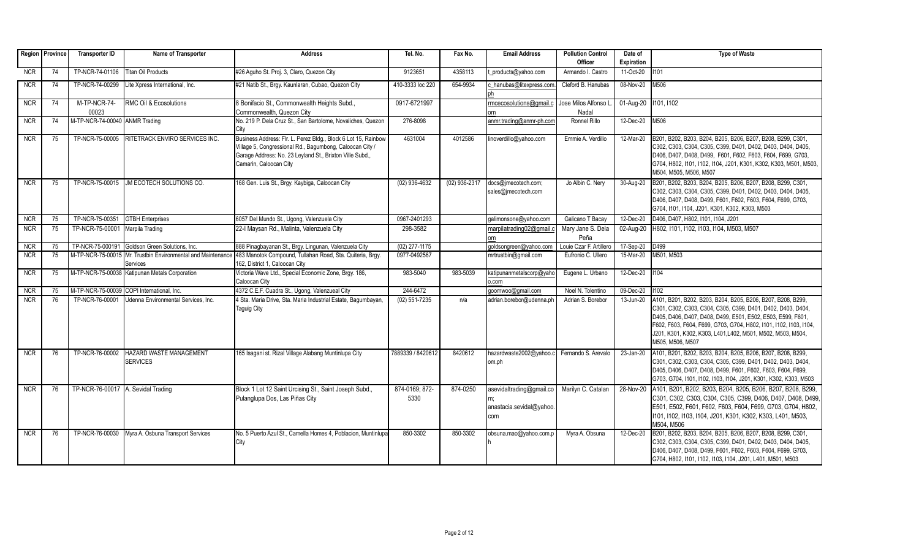|            | Region   Province | <b>Transporter ID</b>              | Name of Transporter                                                      | <b>Address</b>                                                                                                                                                                                                   | Tel. No.               | Fax No.         | <b>Email Address</b>                                        | <b>Pollution Control</b><br>Officer | Date of<br><b>Expiration</b> | <b>Type of Waste</b>                                                                                                                                                                                                                                                                                                                             |
|------------|-------------------|------------------------------------|--------------------------------------------------------------------------|------------------------------------------------------------------------------------------------------------------------------------------------------------------------------------------------------------------|------------------------|-----------------|-------------------------------------------------------------|-------------------------------------|------------------------------|--------------------------------------------------------------------------------------------------------------------------------------------------------------------------------------------------------------------------------------------------------------------------------------------------------------------------------------------------|
| <b>NCR</b> | 74                | TP-NCR-74-01106                    | <b>Titan Oil Products</b>                                                | #26 Aguho St. Proj. 3, Claro, Quezon City                                                                                                                                                                        | 9123651                | 4358113         | products@yahoo.com                                          | Armando I. Castro                   | 11-Oct-20                    | 1101                                                                                                                                                                                                                                                                                                                                             |
| <b>NCR</b> | 74                | TP-NCR-74-00299                    | Lite Xpress International, Inc.                                          | #21 Natib St., Brgy. Kaunlaran, Cubao, Quezon City                                                                                                                                                               | 410-3333 loc 220       | 654-9934        | chanubas@litexpress.com                                     | Cleford B. Hanubas                  | 08-Nov-20                    | M506                                                                                                                                                                                                                                                                                                                                             |
| <b>NCR</b> | 74                | M-TP-NCR-74-<br>00023              | RMC Oil & Ecosolutions                                                   | 8 Bonifacio St., Commonwealth Heights Subd.,<br>Commonwealth, Quezon City                                                                                                                                        | 0917-6721997           |                 | rmcecosolutions@gmail.c                                     | Jose Milos Alfonso I<br>Nadal       | 01-Aug-20   101, 1102        |                                                                                                                                                                                                                                                                                                                                                  |
| <b>NCR</b> | 74                | M-TP-NCR-74-00040 ANMR Trading     |                                                                          | No. 219 P. Dela Cruz St., San Bartolome, Novaliches, Quezon<br>City                                                                                                                                              | 276-8098               |                 | anmr.trading@anmr-ph.com                                    | Ronnel Rillo                        | 12-Dec-20                    | M506                                                                                                                                                                                                                                                                                                                                             |
| <b>NCR</b> | 75                | TP-NCR-75-00005                    | <b>RITETRACK ENVIRO SERVICES INC.</b>                                    | Business Address: Flr. L. Perez Bldg., Block 6 Lot 15, Rainbow<br>Village 5, Congressional Rd., Bagumbong, Caloocan City /<br>Garage Address: No. 23 Leyland St., Brixton Ville Subd.,<br>Camarin, Caloocan City | 4631004                | 4012586         | linoverdillo@yahoo.com                                      | Emmie A. Verdillo                   | 12-Mar-20                    | B201, B202, B203, B204, B205, B206, B207, B208, B299, C301,<br>C302, C303, C304, C305, C399, D401, D402, D403, D404, D405,<br>D406, D407, D408, D499, F601, F602, F603, F604, F699, G703,<br>G704, H802, I101, I102, I104, J201, K301, K302, K303, M501, M503,<br>M504, M505, M506, M507                                                         |
| <b>NCR</b> | 75                |                                    | TP-NCR-75-00015 JM ECOTECH SOLUTIONS CO.                                 | 168 Gen. Luis St., Brgy. Kaybiga, Caloocan City                                                                                                                                                                  | $(02)$ 936-4632        | $(02)$ 936-2317 | docs@jmecotech.com;<br>sales@jmecotech.com                  | Jo Albin C. Nery                    | 30-Aug-20                    | B201, B202, B203, B204, B205, B206, B207, B208, B299, C301,<br>C302, C303, C304, C305, C399, D401, D402, D403, D404, D405,<br>D406, D407, D408, D499, F601, F602, F603, F604, F699, G703,<br>G704, I101, I104, J201, K301, K302, K303, M503                                                                                                      |
| <b>NCR</b> | 75                | TP-NCR-75-00351                    | <b>GTBH Enterprises</b>                                                  | 6057 Del Mundo St., Ugong, Valenzuela City                                                                                                                                                                       | 0967-2401293           |                 | galimonsone@yahoo.com                                       | Galicano T Bacav                    | 12-Dec-20                    | D406, D407, H802, I101, I104, J201                                                                                                                                                                                                                                                                                                               |
| NCR        | 75                | TP-NCR-75-00001                    | Marpila Trading                                                          | 22-I Maysan Rd., Malinta, Valenzuela City                                                                                                                                                                        | 298-3582               |                 | marpilatrading02@gmail.c<br>nm.                             | Mary Jane S. Dela<br>Peña           | 02-Aug-20                    | H802, I101, I102, I103, I104, M503, M507                                                                                                                                                                                                                                                                                                         |
| <b>NCR</b> | 75                | TP-NCR-75-000191                   | Goldson Green Solutions, Inc.                                            | 888 Pinagbayanan St., Brgy. Lingunan, Valenzuela City                                                                                                                                                            | $(02)$ 277-1175        |                 | qoldsongreen@yahoo.com                                      | Louie Czar F. Artillero             | 17-Sep-20                    | D <sub>499</sub>                                                                                                                                                                                                                                                                                                                                 |
| <b>NCR</b> | 75                |                                    | M-TP-NCR-75-00015 Mr. Trustbin Environmental and Maintenance<br>Services | 483 Manotok Compound, Tullahan Road, Sta. Quiteria, Brgy.<br>162, District 1, Caloocan City                                                                                                                      | 0977-0492567           |                 | mrtrustbin@gmail.com                                        | Eufronio C. Ullero                  | 15-Mar-20                    | M501, M503                                                                                                                                                                                                                                                                                                                                       |
| <b>NCR</b> | 75                |                                    | M-TP-NCR-75-00038 Katipunan Metals Corporation                           | Victoria Wave Ltd., Special Economic Zone, Brgy. 186,<br>Caloocan City                                                                                                                                           | 983-5040               | 983-5039        | katipunanmetalscorp@yaho<br>p.com                           | Eugene L. Urbano                    | 12-Dec-20                    | 1104                                                                                                                                                                                                                                                                                                                                             |
| <b>NCR</b> | 75                |                                    | M-TP-NCR-75-00039 COPI International, Inc.                               | 4372 C.E.F. Cuadra St., Ugong, Valenzueal City                                                                                                                                                                   | 244-6472               |                 | qoomwoo@gmail.com                                           | Noel N. Tolentino                   | $09-Dec-20$                  | 1102                                                                                                                                                                                                                                                                                                                                             |
| <b>NCR</b> | 76                | TP-NCR-76-00001                    | Udenna Environmental Services, Inc.                                      | 4 Sta. Maria Drive, Sta. Maria Industrial Estate, Bagumbayan.<br><b>Taguig City</b>                                                                                                                              | $(02)$ 551-7235        | n/a             | adrian.borebor@udenna.ph                                    | Adrian S. Borebor                   | 13-Jun-20                    | A101, B201, B202, B203, B204, B205, B206, B207, B208, B299,<br>C301, C302, C303, C304, C305, C399, D401, D402, D403, D404,<br>D405, D406, D407, D408, D499, E501, E502, E503, E599, F601,<br>F602, F603, F604, F699, G703, G704, H802, I101, I102, I103, I104,<br>J201, K301, K302, K303, L401,L402, M501, M502, M503, M504,<br>M505, M506, M507 |
| <b>NCR</b> | 76                | TP-NCR-76-00002                    | <b>HAZARD WASTE MANAGEMENT</b><br><b>SERVICES</b>                        | 165 Isagani st. Rizal Village Alabang Muntinlupa City                                                                                                                                                            | 7889339 / 8420612      | 8420612         | hazardwaste2002@yahoo.c<br>lom.ph                           | Fernando S. Arevalo                 | 23-Jan-20                    | A101, B201, B202, B203, B204, B205, B206, B207, B208, B299,<br>C301, C302, C303, C304, C305, C399, D401, D402, D403, D404,<br>D405, D406, D407, D408, D499, F601, F602, F603, F604, F699,<br>G703, G704, I101, I102, I103, I104, J201, K301, K302, K303, M503                                                                                    |
| <b>NCR</b> | 76                | TP-NCR-76-00017 A. Sevidal Trading |                                                                          | Block 1 Lot 12 Saint Urcising St., Saint Joseph Subd.<br>Pulanglupa Dos, Las Piñas City                                                                                                                          | 874-0169; 872-<br>5330 | 874-0250        | asevidaltrading@gmail.co<br>anastacia.sevidal@yahoo.<br>com | Marilyn C. Catalan                  | 28-Nov-20                    | A101, B201, B202, B203, B204, B205, B206, B207, B208, B299,<br>C301, C302, C303, C304, C305, C399, D406, D407, D408, D499,<br>E501, E502, F601, F602, F603, F604, F699, G703, G704, H802,<br>1101, 1102, 1103, 1104, J201, K301, K302, K303, L401, M503,<br>M504, M506                                                                           |
| <b>NCR</b> | 76                |                                    | TP-NCR-76-00030 Myra A. Osbuna Transport Services                        | No. 5 Puerto Azul St., Camella Homes 4, Poblacion, Muntinlupa<br>City                                                                                                                                            | 850-3302               | 850-3302        | obsuna.mao@yahoo.com.p                                      | Myra A. Obsuna                      | 12-Dec-20                    | B201, B202, B203, B204, B205, B206, B207, B208, B299, C301,<br>C302, C303, C304, C305, C399, D401, D402, D403, D404, D405,<br>D406, D407, D408, D499, F601, F602, F603, F604, F699, G703,<br>G704, H802, I101, I102, I103, I104, J201, L401, M501, M503                                                                                          |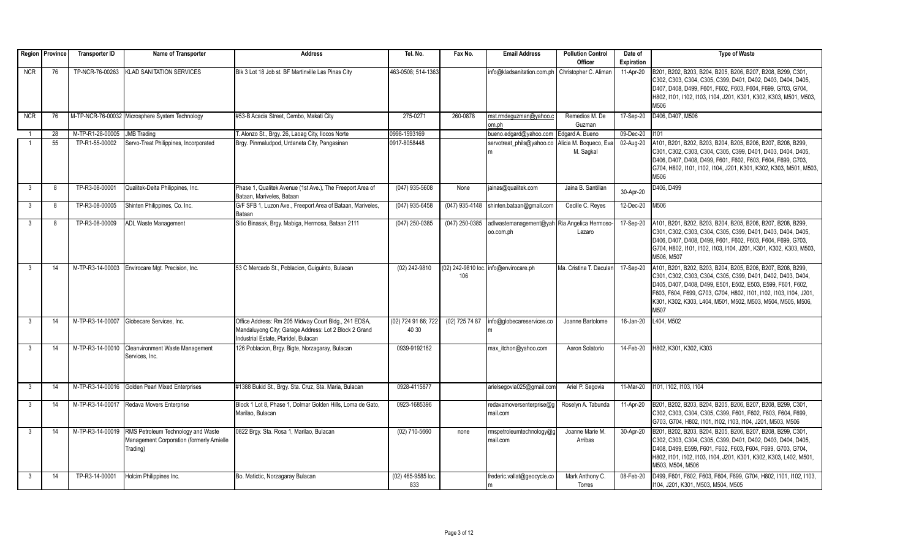|              | Region Province | <b>Transporter ID</b> | Name of Transporter                              | <b>Address</b>                                             | Tel. No.            | Fax No.        | <b>Email Address</b>                             | <b>Pollution Control</b> | Date of    | <b>Type of Waste</b>                                                                                                             |
|--------------|-----------------|-----------------------|--------------------------------------------------|------------------------------------------------------------|---------------------|----------------|--------------------------------------------------|--------------------------|------------|----------------------------------------------------------------------------------------------------------------------------------|
|              |                 |                       |                                                  |                                                            |                     |                |                                                  | Officer                  | Expiration |                                                                                                                                  |
| <b>NCR</b>   | 76              | TP-NCR-76-00263       | <b>KLAD SANITATION SERVICES</b>                  | Blk 3 Lot 18 Job st. BF Martinville Las Pinas City         | 463-0508: 514-1363  |                | info@kladsanitation.com.ph                       | Christopher C. Aliman    | 11-Apr-20  | B201, B202, B203, B204, B205, B206, B207, B208, B299, C301,                                                                      |
|              |                 |                       |                                                  |                                                            |                     |                |                                                  |                          |            | C302, C303, C304, C305, C399, D401, D402, D403, D404, D405,                                                                      |
|              |                 |                       |                                                  |                                                            |                     |                |                                                  |                          |            | D407, D408, D499, F601, F602, F603, F604, F699, G703, G704,                                                                      |
|              |                 |                       |                                                  |                                                            |                     |                |                                                  |                          |            | H802, I101, I102, I103, I104, J201, K301, K302, K303, M501, M503,                                                                |
|              |                 |                       |                                                  |                                                            |                     |                |                                                  |                          |            | M506                                                                                                                             |
| <b>NCR</b>   | 76              |                       | M-TP-NCR-76-00032 Microsphere System Technology  | #53-B Acacia Street, Cembo, Makati City                    | 275-0271            | 260-0878       | mst.rmdeguzman@yahoo.c                           | Remedios M. De           | 17-Sep-20  | D406, D407, M506                                                                                                                 |
|              |                 |                       |                                                  |                                                            |                     |                | om.ph                                            | Guzman                   |            |                                                                                                                                  |
|              | 28              | M-TP-R1-28-00005      | <b>JMB</b> Trading                               | T. Alonzo St., Brgy. 26, Laoag City, Ilocos Norte          | 0998-1593169        |                | bueno.edgard@yahoo.com                           | Edgard A. Bueno          | 09-Dec-20  | 1101                                                                                                                             |
|              | 55              | TP-R1-55-00002        | Servo-Treat Philippines, Incorporated            | Brgy. Pinmaludpod, Urdaneta City, Pangasinan               | 0917-8058448        |                | servotreat_phils@yahoo.co Alicia M. Boqueco, Eva |                          | 02-Aug-20  | A101, B201, B202, B203, B204, B205, B206, B207, B208, B299,                                                                      |
|              |                 |                       |                                                  |                                                            |                     |                |                                                  | M. Saqkal                |            | C301, C302, C303, C304, C305, C399, D401, D403, D404, D405,<br>D406, D407, D408, D499, F601, F602, F603, F604, F699, G703,       |
|              |                 |                       |                                                  |                                                            |                     |                |                                                  |                          |            | G704, H802, I101, I102, I104, J201, K301, K302, K303, M501, M503,                                                                |
|              |                 |                       |                                                  |                                                            |                     |                |                                                  |                          |            | M506                                                                                                                             |
| 3            | 8               | TP-R3-08-00001        | Qualitek-Delta Philippines, Inc.                 | Phase 1, Qualitek Avenue (1st Ave.), The Freeport Area of  | (047) 935-5608      | None           | jainas@qualitek.com                              | Jaina B. Santillan       |            | D406, D499                                                                                                                       |
|              |                 |                       |                                                  | Bataan. Mariveles. Bataan                                  |                     |                |                                                  |                          | 30-Apr-20  |                                                                                                                                  |
| 3            | 8               | TP-R3-08-00005        | Shinten Philippines, Co. Inc.                    | G/F SFB 1, Luzon Ave., Freeport Area of Bataan, Mariveles, | (047) 935-6458      |                | (047) 935-4148 shinten.bataan@gmail.com          | Cecille C. Reyes         | 12-Dec-20  | M506                                                                                                                             |
|              |                 |                       |                                                  | Bataan                                                     |                     |                |                                                  |                          |            |                                                                                                                                  |
| 3            | 8               | TP-R3-08-00009        | <b>ADL Waste Management</b>                      | Sitio Binasak, Brgy. Mabiga, Hermosa, Bataan 2111          | $(047)$ 250-0385    | (047) 250-0385 | adlwastemanagement@yah Ria Angelica Hermoso      |                          | 17-Sep-20  | A101, B201, B202, B203, B204, B205, B206, B207, B208, B299,                                                                      |
|              |                 |                       |                                                  |                                                            |                     |                | oo.com.ph                                        | Lazaro                   |            | C301, C302, C303, C304, C305, C399, D401, D403, D404, D405,                                                                      |
|              |                 |                       |                                                  |                                                            |                     |                |                                                  |                          |            | D406, D407, D408, D499, F601, F602, F603, F604, F699, G703,                                                                      |
|              |                 |                       |                                                  |                                                            |                     |                |                                                  |                          |            | G704, H802, I101, I102, I103, I104, J201, K301, K302, K303, M503,                                                                |
|              |                 |                       |                                                  |                                                            |                     |                |                                                  |                          |            | M506, M507                                                                                                                       |
| 3            | 14              |                       | M-TP-R3-14-00003 Envirocare Mgt. Precision. Inc. | 53 C Mercado St., Poblacion, Guiguinto, Bulacan            | (02) 242-9810       |                | (02) 242-9810 loc. info@envirocare.ph            | Ma. Cristina T. Daculan  | 17-Sep-20  | A101, B201, B202, B203, B204, B205, B206, B207, B208, B299,                                                                      |
|              |                 |                       |                                                  |                                                            |                     | 106            |                                                  |                          |            | C301, C302, C303, C304, C305, C399, D401, D402, D403, D404.                                                                      |
|              |                 |                       |                                                  |                                                            |                     |                |                                                  |                          |            | D405, D407, D408, D499, E501, E502, E503, E599, F601, F602,                                                                      |
|              |                 |                       |                                                  |                                                            |                     |                |                                                  |                          |            | F603, F604, F699, G703, G704, H802, I101, I102, I103, I104, J201,<br>K301, K302, K303, L404, M501, M502, M503, M504, M505, M506, |
|              |                 |                       |                                                  |                                                            |                     |                |                                                  |                          |            | M507                                                                                                                             |
| 3            | 14              |                       | M-TP-R3-14-00007 Globecare Services, Inc.        | Office Address: Rm 205 Midway Court Bldg., 241 EDSA,       | (02) 724 91 66; 722 | (02) 725 74 87 | info@globecareservices.co                        | Joanne Bartolome         | 16-Jan-20  | L404, M502                                                                                                                       |
|              |                 |                       |                                                  | Mandaluyong City; Garage Address: Lot 2 Block 2 Grand      | 40 30               |                |                                                  |                          |            |                                                                                                                                  |
|              |                 |                       |                                                  | Industrial Estate, Plaridel, Bulacan                       |                     |                |                                                  |                          |            |                                                                                                                                  |
| 3            | 14              |                       | M-TP-R3-14-00010 Cleanvironment Waste Management | 126 Poblacion, Brgy. Bigte, Norzagaray, Bulacan            | 0939-9192162        |                | max itchon@yahoo.com                             | Aaron Solatorio          | 14-Feb-20  | H802, K301, K302, K303                                                                                                           |
|              |                 |                       | Services, Inc.                                   |                                                            |                     |                |                                                  |                          |            |                                                                                                                                  |
|              |                 |                       |                                                  |                                                            |                     |                |                                                  |                          |            |                                                                                                                                  |
|              |                 |                       |                                                  |                                                            |                     |                |                                                  |                          |            |                                                                                                                                  |
| 3            | 14              |                       | M-TP-R3-14-00016 Golden Pearl Mixed Enterprises  | #1388 Bukid St., Brgy. Sta. Cruz, Sta. Maria, Bulacan      | 0928-4115877        |                | arielsegovia025@gmail.com                        | Ariel P. Segovia         | 11-Mar-20  | 1101. 1102. 1103. 1104                                                                                                           |
|              |                 |                       |                                                  |                                                            |                     |                |                                                  |                          |            |                                                                                                                                  |
| $\mathbf{3}$ | 14              | M-TP-R3-14-00017      | Redava Movers Enterprise                         | Block 1 Lot 8, Phase 1, Dolmar Golden Hills, Loma de Gato, | 0923-1685396        |                | redavamoversenterprise@g                         | Roselyn A. Tabunda       | 11-Apr-20  | B201, B202, B203, B204, B205, B206, B207, B208, B299, C301,                                                                      |
|              |                 |                       |                                                  | Marilao, Bulacan                                           |                     |                | mail.com                                         |                          |            | C302, C303, C304, C305, C399, F601, F602, F603, F604, F699,                                                                      |
|              |                 |                       |                                                  |                                                            |                     |                |                                                  |                          |            | G703, G704, H802, I101, I102, I103, I104, J201, M503, M506                                                                       |
| $\mathbf{3}$ | 14              | M-TP-R3-14-00019      | RMS Petroleum Technology and Waste               | 0822 Brgy. Sta. Rosa 1, Marilao, Bulacan                   | (02) 710-5660       | none           | rmspetroleumtechnology@g                         | Joanne Marie M.          | 30-Apr-20  | B201, B202, B203, B204, B205, B206, B207, B208, B299, C301,                                                                      |
|              |                 |                       | Management Corporation (formerly Arnielle        |                                                            |                     |                | mail.com                                         | Arribas                  |            | C302, C303, C304, C305, C399, D401, D402, D403, D404, D405,                                                                      |
|              |                 |                       | Trading)                                         |                                                            |                     |                |                                                  |                          |            | D408, D499, E599, F601, F602, F603, F604, F699, G703, G704,                                                                      |
|              |                 |                       |                                                  |                                                            |                     |                |                                                  |                          |            | H802, I101, I102, I103, I104, J201, K301, K302, K303, L402, M501,                                                                |
|              |                 |                       |                                                  |                                                            |                     |                |                                                  |                          |            | M503, M504, M506                                                                                                                 |
| 3            | 14              | TP-R3-14-00001        | Holcim Philippines Inc.                          | Bo. Matictic, Norzagaray Bulacan                           | (02) 465-9585 loc.  |                | frederic.vallat@geocycle.co                      | Mark Anthony C.          | 08-Feb-20  | D499, F601, F602, F603, F604, F699, G704, H802, I101, I102, I103,                                                                |
|              |                 |                       |                                                  |                                                            | 833                 |                | m                                                | Torres                   |            | 1104, J201, K301, M503, M504, M505                                                                                               |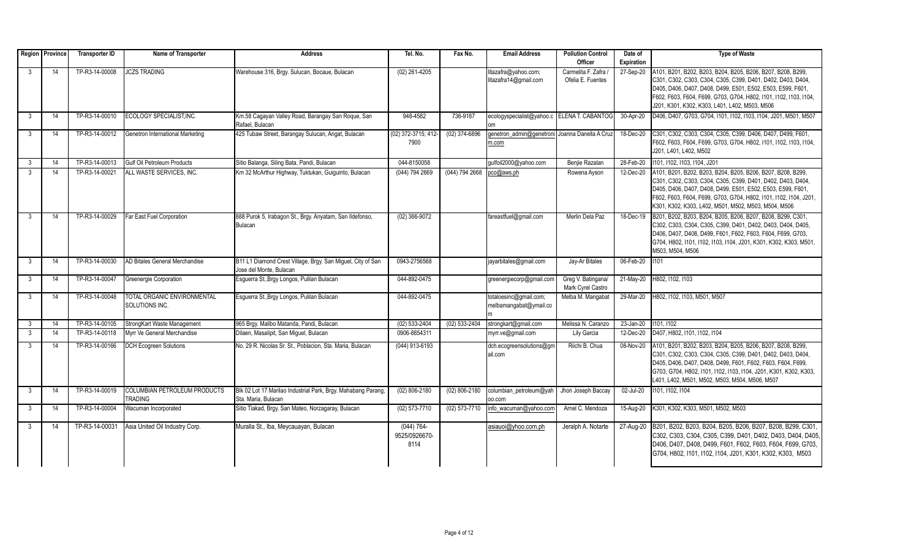|                | Region Province | <b>Transporter ID</b> | Name of Transporter                                  | <b>Address</b>                                                                         | Tel. No.                               | Fax No.         | <b>Email Address</b>                             | <b>Pollution Control</b>                  | Date of           | <b>Type of Waste</b>                                                                                                                                                                                                                                                                                                   |
|----------------|-----------------|-----------------------|------------------------------------------------------|----------------------------------------------------------------------------------------|----------------------------------------|-----------------|--------------------------------------------------|-------------------------------------------|-------------------|------------------------------------------------------------------------------------------------------------------------------------------------------------------------------------------------------------------------------------------------------------------------------------------------------------------------|
|                |                 |                       |                                                      |                                                                                        |                                        |                 |                                                  | Officer                                   | <b>Expiration</b> |                                                                                                                                                                                                                                                                                                                        |
| 3              | 14              | TP-R3-14-00008        | <b>ICZS TRADING</b>                                  | Warehouse 316, Brgy. Sulucan, Bocaue, Bulacan                                          | $(02)$ 261-4205                        |                 | litazafra@yahoo.com;<br>litazafra14@gmail.com    | Carmelita F. Zafra /<br>Ofelia E. Fuentes | 27-Sep-20         | A101, B201, B202, B203, B204, B205, B206, B207, B208, B299,<br>C301, C302, C303, C304, C305, C399, D401, D402, D403, D404,<br>D405, D406, D407, D408, D499, E501, E502, E503, E599, F601,<br>F602, F603, F604, F699, G703, G704, H802, I101, I102, I103, I104,<br>J201, K301, K302, K303, L401, L402, M503, M506       |
| 3              | 14              | TP-R3-14-00010        | ECOLOGY SPECIALIST, INC.                             | Km.58 Cagayan Valley Road, Barangay San Roque, San<br>Rafael, Bulacan                  | 948-4582                               | 736-9187        | ecologyspecialist@yahoo.c ELENA T. CABANTOG      |                                           | 30-Apr-20         | D406, D407, G703, G704, I101, I102, I103, I104, J201, M501, M507                                                                                                                                                                                                                                                       |
| -3             | 14              | TP-R3-14-00012        | Genetron International Marketing                     | 425 Tubaw Street, Barangay Sulucan, Angat, Bulacan                                     | (02) 372-3715; 412-<br>7900            | $(02)$ 374-6896 | genetron admin@genetroni<br>m.com                | Joanna Danella A Cruz                     | 18-Dec-20         | C301, C302, C303, C304, C305, C399, D406, D407, D499, F601,<br>F602, F603, F604, F699, G703, G704, H802, I101, I102, I103, I104,<br>J201, L401, L402, M502                                                                                                                                                             |
| 3              | 14              | TP-R3-14-00013        | <b>Gulf Oil Petroleum Products</b>                   | Sitio Balanga, Siling Bata, Pandi, Bulacan                                             | 044-8150058                            |                 | qulfoil2000@yahoo.com                            | Benjie Razalan                            | 28-Feb-20         | 1101.1102.1103.1104.J201                                                                                                                                                                                                                                                                                               |
| $\overline{3}$ | 14              | TP-R3-14-00021        | ALL WASTE SERVICES. INC.                             | Km 32 McArthur Highway, Tuktukan, Guiguinto, Bulacan                                   | (044) 794 2669                         | (044) 794 2668  | pco@aws.ph                                       | Rowena Ayson                              | 12-Dec-20         | A101, B201, B202, B203, B204, B205, B206, B207, B208, B299,<br>C301, C302, C303, C304, C305, C399, D401, D402, D403, D404,<br>D405, D406, D407, D408, D499, E501, E502, E503, E599, F601,<br>F602, F603, F604, F699, G703, G704, H802, I101, I102, I104, J201,<br>K301, K302, K303, L402, M501, M502, M503, M504, M506 |
| 3              | 14              | TP-R3-14-00029        | Far East Fuel Corporation                            | 888 Purok 5, Irabagon St., Brgy. Anyatam, San Ildefonso,<br>Bulacan                    | $(02)$ 366-9072                        |                 | fareastfuel@gmail.com                            | Merlin Dela Paz                           | 18-Dec-19         | B201, B202, B203, B204, B205, B206, B207, B208, B299, C301,<br>C302, C303, C304, C305, C399, D401, D402, D403, D404, D405,<br>D406, D407, D408, D499, F601, F602, F603, F604, F699, G703,<br>G704, H802, I101, I102, I103, I104, J201, K301, K302, K303, M501,<br>M503, M504, M506                                     |
| 3              | 14              | TP-R3-14-00030        | AD Bitales General Merchandise                       | B11 L1 Diamond Crest Village, Brgy. San Miguel, City of San<br>Jose del Monte, Bulacan | 0943-2756568                           |                 | jayarbitales@gmail.com                           | Jay-Ar Bitales                            | 06-Feb-20         | 1101                                                                                                                                                                                                                                                                                                                   |
| $\mathbf{3}$   | 14              | TP-R3-14-00047        | Greenergie Corporation                               | Esguerra St., Brgy Longos, Pulilan Bulacan                                             | 044-892-0475                           |                 | greenergiecorp@gmail.com                         | Greg V. Batingana/<br>Mark Cyrel Castro   |                   | 21-May-20 H802, I102, I103                                                                                                                                                                                                                                                                                             |
| -3             | 14              | TP-R3-14-00048        | <b>TOTAL ORGANIC ENVIRONMENTAL</b><br>SOLUTIONS INC. | Esquerra St., Brgy Longos, Pulilan Bulacan                                             | 044-892-0475                           |                 | totaloesinc@gmail.com;<br>melbamangabat@ymail.co | Melba M. Mangabat                         | 29-Mar-20         | H802, I102, I103, M501, M507                                                                                                                                                                                                                                                                                           |
| $\mathbf{3}$   | 14              | TP-R3-14-00105        | StrongKart Waste Management                          | 965 Brgy. Malibo Matanda, Pandi, Bulacan                                               | $(02) 533 - 2404$                      | $(02)$ 533-2404 | strongkart@gmail.com                             | Melissa N. Caranzo                        | $23$ -Jan-20      | 1101.1102                                                                                                                                                                                                                                                                                                              |
| 3              | 14              | TP-R3-14-00118        | Myrr Ve General Merchandise                          | Dilaen, Masalipit, San Miquel, Bulacan                                                 | 0906-8854311                           |                 | myrr.ve@gmail.com                                | Lily Garcia                               | 12-Dec-20         | D407, H802, I101, I102, I104                                                                                                                                                                                                                                                                                           |
| $\mathbf{3}$   | 14              | TP-R3-14-00166        | <b>DCH Ecogreen Solutions</b>                        | No. 29 R. Nicolas Sr. St., Poblacion, Sta. Maria, Bulacan                              | $(044)$ 913-6193                       |                 | dch.ecogreensolutions@gm<br>ail.com              | Riichi B. Chua                            | 08-Nov-20         | A101, B201, B202, B203, B204, B205, B206, B207, B208, B299,<br>C301, C302, C303, C304, C305, C399, D401, D402, D403, D404,<br>D405, D406, D407, D408, D499, F601, F602, F603, F604, F699,<br>G703, G704, H802, I101, I102, I103, I104, J201, K301, K302, K303,<br>L401, L402, M501, M502, M503, M504, M506, M507       |
| 3              | 14              | TP-R3-14-00019        | COLUMBIAN PETROLEUM PRODUCTS<br><b>TRADING</b>       | Blk 02 Lot 17 Marilao Industrial Park, Brgy. Mahabang Parang,<br>Sta. Maria, Bulacan   | $(02) 806 - 2180$                      | (02) 806-2180   | columbian_petroleum@yah<br>00.com                | Jhon Joseph Baccay                        | 02-Jul-20         | 1101. 1102. 1104                                                                                                                                                                                                                                                                                                       |
| 3              | 14              | TP-R3-14-00004        | <b>Nacuman Incorporated</b>                          | Sitio Tiakad, Brgy. San Mateo, Norzagaray, Bulacan                                     | $(02)$ 573-7710                        | (02) 573-7710   | info wacuman@vahoo.com                           | Arnel C. Mendoza                          | 15-Aua-20         | K301, K302, K303, M501, M502, M503                                                                                                                                                                                                                                                                                     |
| 3              | 14              | TP-R3-14-00031        | Asia United Oil Industry Corp.                       | Muralla St., Iba, Meycauayan, Bulacan                                                  | $(044) 764 -$<br>9525/0926670-<br>8114 |                 | asiauoi@yhoo.com.ph                              | Jeralph A. Notarte                        | 27-Aug-20         | B201, B202, B203, B204, B205, B206, B207, B208, B299, C301,<br>C302, C303, C304, C305, C399, D401, D402, D403, D404, D405,<br>D406, D407, D408, D499, F601, F602, F603, F604, F699, G703,<br>G704, H802, I101, I102, I104, J201, K301, K302, K303, M503                                                                |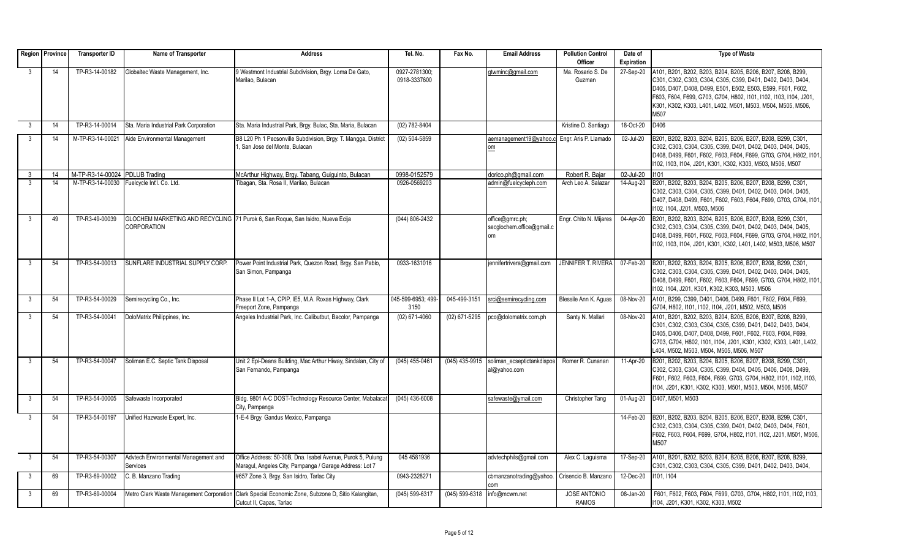|              | Region   Province | <b>Transporter ID</b>          | Name of Transporter                              | <b>Address</b>                                                                                                         | Tel. No.                      | Fax No.        | <b>Email Address</b>                               | <b>Pollution Control</b>            | Date of    | <b>Type of Waste</b>                                                                                                                                                                                                                                                                                                         |
|--------------|-------------------|--------------------------------|--------------------------------------------------|------------------------------------------------------------------------------------------------------------------------|-------------------------------|----------------|----------------------------------------------------|-------------------------------------|------------|------------------------------------------------------------------------------------------------------------------------------------------------------------------------------------------------------------------------------------------------------------------------------------------------------------------------------|
|              |                   |                                |                                                  |                                                                                                                        |                               |                |                                                    | Officer                             | Expiration |                                                                                                                                                                                                                                                                                                                              |
| 3            | 14                | TP-R3-14-00182                 | Globaltec Waste Management, Inc.                 | 9 Westmont Industrial Subdivision, Brgy. Loma De Gato,<br>Marilao, Bulacan                                             | 0927-2781300;<br>0918-3337600 |                | gtwminc@gmail.com                                  | Ma. Rosario S. De<br>Guzman         | 27-Sep-20  | A101, B201, B202, B203, B204, B205, B206, B207, B208, B299<br>C301, C302, C303, C304, C305, C399, D401, D402, D403, D404,<br>D405, D407, D408, D499, E501, E502, E503, E599, F601, F602,<br>F603, F604, F699, G703, G704, H802, I101, I102, I103, I104, J201,<br>K301, K302, K303, L401, L402, M501, M503, M504, M505, M506, |
|              |                   |                                |                                                  |                                                                                                                        |                               |                |                                                    |                                     |            | M507                                                                                                                                                                                                                                                                                                                         |
| $\mathbf{3}$ | 14                | TP-R3-14-00014                 | Sta. Maria Industrial Park Corporation           | Sta. Maria Industrial Park, Brgy. Bulac, Sta. Maria, Bulacan                                                           | (02) 782-8404                 |                |                                                    | Kristine D. Santiago                | 18-Oct-20  | D406                                                                                                                                                                                                                                                                                                                         |
| 3            | 14                | M-TP-R3-14-00021               | Aide Environmental Management                    | B8 L20 Ph 1 Pecsonville Subdivision, Brgy. T. Mangga, District<br>San Jose del Monte, Bulacan                          | (02) 504-5859                 |                | aemanagement19@yahoo.c<br>om                       | Engr. Aris P. Llamado               | 02-Jul-20  | B201, B202, B203, B204, B205, B206, B207, B208, B299, C301<br>C302, C303, C304, C305, C399, D401, D402, D403, D404, D405,<br>D408, D499, F601, F602, F603, F604, F699, G703, G704, H802, I101.<br>1102, 1103, 1104, J201, K301, K302, K303, M503, M506, M507                                                                 |
| $\mathbf{3}$ | 14                | M-TP-R3-14-00024 PDLUB Trading |                                                  | McArthur Highway, Brgy. Tabang, Guiguinto, Bulacan                                                                     | 0998-0152579                  |                | dorico.ph@gmail.com                                | Robert R. Baiar                     | 02-Jul-20  | 1101                                                                                                                                                                                                                                                                                                                         |
| $\mathbf{3}$ | 14                |                                | M-TP-R3-14-00030 Fuelcycle Int'l. Co. Ltd.       | Tibagan, Sta, Rosa II, Marilao, Bulacan                                                                                | 0926-0569203                  |                | admin@fuelcycleph.com                              | Arch Leo A. Salazar                 | 14-Aug-20  | B201, B202, B203, B204, B205, B206, B207, B208, B299, C301,<br>C302, C303, C304, C305, C399, D401, D402, D403, D404, D405,<br>D407, D408, D499, F601, F602, F603, F604, F699, G703, G704, I101.<br>102, 1104, J201, M503, M506                                                                                               |
| 3            | 49                | TP-R3-49-00039                 | <b>CORPORATION</b>                               | GLOCHEM MARKETING AND RECYCLING 71 Purok 6, San Roque, San Isidro, Nueva Ecija                                         | (044) 806-2432                |                | office@gmrc.ph;<br>secqlochem.office@qmail.c<br>om | Engr. Chito N. Mijares              | 04-Apr-20  | B201, B202, B203, B204, B205, B206, B207, B208, B299, C301,<br>C302, C303, C304, C305, C399, D401, D402, D403, D404, D405,<br>D408, D499, F601, F602, F603, F604, F699, G703, G704, H802, I101<br>I102, I103, I104, J201, K301, K302, L401, L402, M503, M506, M507                                                           |
| $\mathbf{3}$ | 54                | TP-R3-54-00013                 | SUNFLARE INDUSTRIAL SUPPLY CORP.                 | Power Point Industrial Park, Quezon Road, Brgy. San Pablo,<br>San Simon, Pampanga                                      | 0933-1631016                  |                | jennifertrivera@gmail.com                          | <b>JENNIFER T. RIVERA</b>           | 07-Feb-20  | B201, B202, B203, B204, B205, B206, B207, B208, B299, C301,<br>C302, C303, C304, C305, C399, D401, D402, D403, D404, D405,<br>D408, D499, F601, F602, F603, F604, F699, G703, G704, H802, I101.<br>1102, 1104, J201, K301, K302, K303, M503, M506                                                                            |
| $\mathbf{3}$ | 54                | TP-R3-54-00029                 | Semirecycling Co., Inc.                          | Phase II Lot 1-A, CPIP, IE5, M.A. Roxas Highway, Clark<br>Freeport Zone, Pampanga                                      | 045-599-6953: 499-<br>3150    | 045-499-3151   | srci@semirecycling.com                             | Blessile Ann K. Aguas               | 08-Nov-20  | A101, B299, C399, D401, D406, D499, F601, F602, F604, F699,<br>G704, H802, I101, I102, I104, J201, M502, M503, M506                                                                                                                                                                                                          |
| $\mathbf{3}$ | 54                | TP-R3-54-00041                 | DoloMatrix Philippines, Inc.                     | Angeles Industrial Park, Inc. Calibutbut, Bacolor, Pampanga                                                            | (02) 671-4060                 | (02) 671-5295  | pco@dolomatrix.com.ph                              | Santy N. Mallari                    | 08-Nov-20  | A101, B201, B202, B203, B204, B205, B206, B207, B208, B299<br>C301, C302, C303, C304, C305, C399, D401, D402, D403, D404,<br>D405, D406, D407, D408, D499, F601, F602, F603, F604, F699,<br>G703, G704, H802, I101, I104, J201, K301, K302, K303, L401, L402,<br>L404, M502, M503, M504, M505, M506, M507                    |
| $\mathbf{3}$ | 54                | TP-R3-54-00047                 | Soliman E.C. Septic Tank Disposal                | Unit 2 Epi-Deans Building, Mac Arthur Hiway, Sindalan, City of<br>San Fernando, Pampanga                               | (045) 455-0461                | (045) 435-9915 | soliman ecseptictankdispos<br>al@yahoo.com         | Romer R. Cunanan                    | 11-Apr-20  | B201, B202, B203, B204, B205, B206, B207, B208, B299, C301,<br>C302, C303, C304, C305, C399, D404, D405, D406, D408, D499,<br>F601, F602, F603, F604, F699, G703, G704, H802, I101, I102, I103,<br>104, J201, K301, K302, K303, M501, M503, M504, M506, M507                                                                 |
| $\mathbf{3}$ | 54                | TP-R3-54-00005                 | Safewaste Incorporated                           | Bldg. 9801 A-C DOST-Technology Resource Center, Mabalacat<br>City, Pampanga                                            | $(045)$ 436-6008              |                | safewaste@ymail.com                                | Christopher Tang                    | 01-Aug-20  | D407, M501, M503                                                                                                                                                                                                                                                                                                             |
| 3            | 54                | TP-R3-54-00197                 | Unified Hazwaste Expert, Inc.                    | 1-E-4 Brgy. Gandus Mexico, Pampanga                                                                                    |                               |                |                                                    |                                     | 14-Feb-20  | B201, B202, B203, B204, B205, B206, B207, B208, B299, C301,<br>C302, C303, C304, C305, C399, D401, D402, D403, D404, F601,<br>F602, F603, F604, F699, G704, H802, I101, I102, J201, M501, M506,<br>M507                                                                                                                      |
| $\mathbf{3}$ | 54                | TP-R3-54-00307                 | Advtech Environmental Management and<br>Services | Office Address: 50-30B, Dna, Isabel Avenue, Purok 5, Pulung<br>Maragul, Angeles City, Pampanga / Garage Address: Lot 7 | 045 4581936                   |                | advtechphils@gmail.com                             | Alex C. Laquisma                    | 17-Sep-20  | A101, B201, B202, B203, B204, B205, B206, B207, B208, B299,<br>C301, C302, C303, C304, C305, C399, D401, D402, D403, D404,                                                                                                                                                                                                   |
| 3            | 69                | TP-R3-69-00002                 | C. B. Manzano Trading                            | #657 Zone 3, Brgy. San Isidro, Tarlac City                                                                             | 0943-2328271                  |                | cbmanzanotrading@yahoo.<br>com                     | Crisencio B. Manzano                | 12-Dec-20  | 1101, 1104                                                                                                                                                                                                                                                                                                                   |
| $\mathbf{3}$ | 69                | TP-R3-69-00004                 | Metro Clark Waste Management Corporation         | Clark Special Economic Zone, Subzone D, Sitio Kalangitan,<br>Cutcut II, Capas, Tarlac                                  | (045) 599-6317                |                | (045) 599-6318   info@mcwm.net                     | <b>JOSE ANTONIO</b><br><b>RAMOS</b> | 08-Jan-20  | F601, F602, F603, F604, F699, G703, G704, H802, I101, I102, I103,<br>1104, J201, K301, K302, K303, M502                                                                                                                                                                                                                      |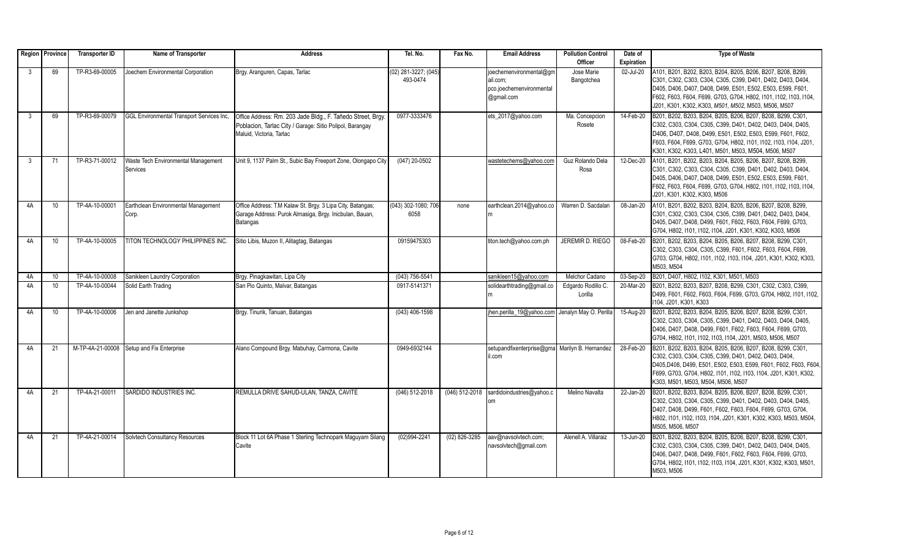|              | Region Province | <b>Transporter ID</b> | Name of Transporter                              | <b>Address</b>                                                                       | Tel. No.                         | Fax No.         | <b>Email Address</b>                           | <b>Pollution Control</b> | Date of    | <b>Type of Waste</b>                                                                                                      |
|--------------|-----------------|-----------------------|--------------------------------------------------|--------------------------------------------------------------------------------------|----------------------------------|-----------------|------------------------------------------------|--------------------------|------------|---------------------------------------------------------------------------------------------------------------------------|
|              |                 |                       |                                                  |                                                                                      |                                  |                 |                                                | Officer                  | Expiration |                                                                                                                           |
| $\mathbf{3}$ | 69              | TP-R3-69-00005        | Joechem Environmental Corporation                | Brgy. Aranguren, Capas, Tarlac                                                       | (02) 281-3227; (045)<br>493-0474 |                 | joechemenvironmental@gm<br>lail.com:           | Jose Marie<br>Bangotchea | 02-Jul-20  | A101, B201, B202, B203, B204, B205, B206, B207, B208, B299,<br>C301, C302, C303, C304, C305, C399, D401, D402, D403, D404 |
|              |                 |                       |                                                  |                                                                                      |                                  |                 | pco.joechemenvironmental                       |                          |            | D405, D406, D407, D408, D499, E501, E502, E503, E599, F601,                                                               |
|              |                 |                       |                                                  |                                                                                      |                                  |                 | @gmail.com                                     |                          |            | F602, F603, F604, F699, G703, G704, H802, I101, I102, I103, I104,                                                         |
|              |                 |                       |                                                  |                                                                                      |                                  |                 |                                                |                          |            | J201, K301, K302, K303, M501, M502, M503, M506, M507                                                                      |
| $\mathbf{3}$ | 69              | TP-R3-69-00079        | <b>GGL Environmental Transport Services Inc.</b> | Office Address: Rm. 203 Jade Bldg., F. Tañedo Street, Brgy.                          | 0977-3333476                     |                 | ets_2017@yahoo.com                             | Ma. Concepcion           | 14-Feb-20  | B201, B202, B203, B204, B205, B206, B207, B208, B299, C301,                                                               |
|              |                 |                       |                                                  |                                                                                      |                                  |                 |                                                | Rosete                   |            | C302, C303, C304, C305, C399, D401, D402, D403, D404, D405,                                                               |
|              |                 |                       |                                                  | Poblacion, Tarlac City / Garage: Sitio Polipol, Barangay<br>Maluid. Victoria. Tarlac |                                  |                 |                                                |                          |            | D406, D407, D408, D499, E501, E502, E503, E599, F601, F602,                                                               |
|              |                 |                       |                                                  |                                                                                      |                                  |                 |                                                |                          |            | F603, F604, F699, G703, G704, H802, I101, I102, I103, I104, J201,                                                         |
|              |                 |                       |                                                  |                                                                                      |                                  |                 |                                                |                          |            |                                                                                                                           |
|              |                 |                       |                                                  |                                                                                      |                                  |                 |                                                |                          |            | K301, K302, K303, L401, M501, M503, M504, M506, M507                                                                      |
| $\mathbf{3}$ | 71              | TP-R3-71-00012        | Waste Tech Environmental Management              | Unit 9, 1137 Palm St., Subic Bay Freeport Zone, Olongapo City                        | (047) 20-0502                    |                 | wastetechems@vahoo.com                         | Guz Rolando Dela         | 12-Dec-20  | A101, B201, B202, B203, B204, B205, B206, B207, B208, B299,                                                               |
|              |                 |                       | Services                                         |                                                                                      |                                  |                 |                                                | Rosa                     |            | C301, C302, C303, C304, C305, C399, D401, D402, D403, D404,                                                               |
|              |                 |                       |                                                  |                                                                                      |                                  |                 |                                                |                          |            | D405. D406. D407. D408. D499. E501. E502. E503. E599. F601.                                                               |
|              |                 |                       |                                                  |                                                                                      |                                  |                 |                                                |                          |            | F602, F603, F604, F699, G703, G704, H802, I101, I102, I103, I104,                                                         |
|              |                 |                       |                                                  |                                                                                      |                                  |                 |                                                |                          |            | J201, K301, K302, K303, M506                                                                                              |
| 4A           | 10              | TP-4A-10-00001        | Earthclean Environmental Management              | Office Address: T.M Kalaw St. Brgy. 3 Lipa City, Batangas;                           | (043) 302-1080; 706              | none            | earthclean.2014@yahoo.co                       | Warren D. Sacdalar       | 08-Jan-20  | A101, B201, B202, B203, B204, B205, B206, B207, B208, B299,                                                               |
|              |                 |                       | Corp.                                            | Garage Address: Purok Almasiga, Brgy. Inicbulan, Bauan,                              | 6058                             |                 |                                                |                          |            | C301, C302, C303, C304, C305, C399, D401, D402, D403, D404                                                                |
|              |                 |                       |                                                  | Batangas                                                                             |                                  |                 |                                                |                          |            | D405, D407, D408, D499, F601, F602, F603, F604, F699, G703,                                                               |
|              |                 |                       |                                                  |                                                                                      |                                  |                 |                                                |                          |            | G704, H802, I101, I102, I104, J201, K301, K302, K303, M506                                                                |
| 4A           | 10              | TP-4A-10-00005        | TITON TECHNOLOGY PHILIPPINES INC.                | Sitio Libis, Muzon II, Alitagtag, Batangas                                           | 09159475303                      |                 | titon.tech@yahoo.com.ph                        | <b>JEREMIR D. RIEGO</b>  | 08-Feb-20  | B201, B202, B203, B204, B205, B206, B207, B208, B299, C301,                                                               |
|              |                 |                       |                                                  |                                                                                      |                                  |                 |                                                |                          |            | C302, C303, C304, C305, C399, F601, F602, F603, F604, F699,                                                               |
|              |                 |                       |                                                  |                                                                                      |                                  |                 |                                                |                          |            | G703, G704, H802, I101, I102, I103, I104, J201, K301, K302, K303,                                                         |
|              |                 |                       |                                                  |                                                                                      |                                  |                 |                                                |                          |            | M503. M504                                                                                                                |
| 4A           | 10              | TP-4A-10-00008        | Sanikleen Laundry Corporation                    | Brgy. Pinagkawitan, Lipa City                                                        | $(043) 756 - 5541$               |                 | sanikleen15@yahoo.com                          | Melchor Cadano           | 03-Sep-20  | B201, D407, H802, I102, K301, M501, M503                                                                                  |
| 4A           | 10              | TP-4A-10-00044        | Solid Earth Trading                              | San Pio Quinto, Malvar, Batangas                                                     | 0917-5141371                     |                 | solidearthtrading@gmail.co                     | Edgardo Rodillo C.       | 20-Mar-20  | B201, B202, B203, B207, B208, B299, C301, C302, C303, C399,                                                               |
|              |                 |                       |                                                  |                                                                                      |                                  |                 |                                                | Lorilla                  |            | D499, F601, F602, F603, F604, F699, G703, G704, H802, I101, I102,                                                         |
|              |                 |                       |                                                  |                                                                                      |                                  |                 |                                                |                          |            | 1104. J201. K301. K303                                                                                                    |
| 4A           | 10              | TP-4A-10-00006        | Jen and Janette Junkshop                         | Brgy. Tinurik, Tanuan, Batangas                                                      | (043) 406-1598                   |                 | jhen.perilla 19@yahoo.com                      | Jenalyn May O. Perilla   | 15-Aug-20  | B201, B202, B203, B204, B205, B206, B207, B208, B299, C301,                                                               |
|              |                 |                       |                                                  |                                                                                      |                                  |                 |                                                |                          |            | C302, C303, C304, C305, C399, D401, D402, D403, D404, D405,                                                               |
|              |                 |                       |                                                  |                                                                                      |                                  |                 |                                                |                          |            | D406, D407, D408, D499, F601, F602, F603, F604, F699, G703,                                                               |
|              |                 |                       |                                                  |                                                                                      |                                  |                 |                                                |                          |            | G704, H802, I101, I102, I103, I104, J201, M503, M506, M507                                                                |
| 4A           | 21              |                       | M-TP-4A-21-00008 Setup and Fix Enterprise        | Alano Compound Brgy. Mabuhay, Carmona, Cavite                                        | 0949-6932144                     |                 | setupandfixenterprise@gma Marilyn B. Hernandez |                          | 28-Feb-20  | B201, B202, B203, B204, B205, B206, B207, B208, B299, C301,                                                               |
|              |                 |                       |                                                  |                                                                                      |                                  |                 | il.com                                         |                          |            | C302, C303, C304, C305, C399, D401, D402, D403, D404,                                                                     |
|              |                 |                       |                                                  |                                                                                      |                                  |                 |                                                |                          |            | D405,D408, D499, E501, E502, E503, E599, F601, F602, F603, F604                                                           |
|              |                 |                       |                                                  |                                                                                      |                                  |                 |                                                |                          |            | F699, G703, G704, H802, I101, I102, I103, I104, J201, K301, K302,                                                         |
|              |                 |                       |                                                  |                                                                                      |                                  |                 |                                                |                          |            | K303, M501, M503, M504, M506, M507                                                                                        |
| 4A           | 21              | TP-4A-21-00011        | SARDIDO INDUSTRIES INC.                          | REMULLA DRIVE SAHUD-ULAN, TANZA, CAVITE                                              | (046) 512-2018                   | (046) 512-2018  | sardidoindustries@yahoo.c                      | Melino Navalta           | 22-Jan-20  | B201. B202. B203. B204. B205. B206. B207. B208. B299. C301.                                                               |
|              |                 |                       |                                                  |                                                                                      |                                  |                 | om                                             |                          |            | C302, C303, C304, C305, C399, D401, D402, D403, D404, D405,                                                               |
|              |                 |                       |                                                  |                                                                                      |                                  |                 |                                                |                          |            | D407, D408, D499, F601, F602, F603, F604, F699, G703, G704,                                                               |
|              |                 |                       |                                                  |                                                                                      |                                  |                 |                                                |                          |            | H802, I101, I102, I103, I104, J201, K301, K302, K303, M503, M504                                                          |
|              |                 |                       |                                                  |                                                                                      |                                  |                 |                                                |                          |            | M505, M506, M507                                                                                                          |
| 4A           | 21              | TP-4A-21-00014        | Solvtech Consultancy Resources                   | Block 11 Lot 6A Phase 1 Sterling Technopark Maguyam Silang                           | $(02)994 - 2241$                 | $(02)$ 826-3285 | aav@navsolvtech.com;                           | Alenell A. Villaraiz     | 13-Jun-20  | B201, B202, B203, B204, B205, B206, B207, B208, B299, C301,                                                               |
|              |                 |                       |                                                  | Cavite                                                                               |                                  |                 | navsolvtech@gmail.com                          |                          |            | C302, C303, C304, C305, C399, D401, D402, D403, D404, D405,                                                               |
|              |                 |                       |                                                  |                                                                                      |                                  |                 |                                                |                          |            | D406, D407, D408, D499, F601, F602, F603, F604, F699, G703,                                                               |
|              |                 |                       |                                                  |                                                                                      |                                  |                 |                                                |                          |            | G704, H802, I101, I102, I103, I104, J201, K301, K302, K303, M501,                                                         |
|              |                 |                       |                                                  |                                                                                      |                                  |                 |                                                |                          |            | M503, M506                                                                                                                |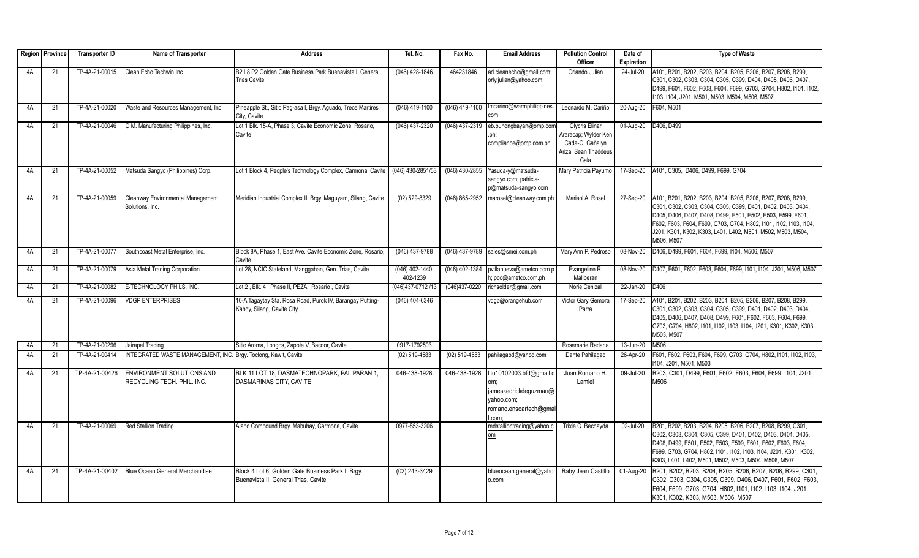|    | Region   Province | <b>Transporter ID</b> | Name of Transporter                                            | <b>Address</b>                                                                            | Tel. No.                    | Fax No.        | <b>Email Address</b>                                                                                     | <b>Pollution Control</b>                                                                  | Date of    | <b>Type of Waste</b>                                                                                                                                                                                                                                                                                                                        |
|----|-------------------|-----------------------|----------------------------------------------------------------|-------------------------------------------------------------------------------------------|-----------------------------|----------------|----------------------------------------------------------------------------------------------------------|-------------------------------------------------------------------------------------------|------------|---------------------------------------------------------------------------------------------------------------------------------------------------------------------------------------------------------------------------------------------------------------------------------------------------------------------------------------------|
|    |                   |                       |                                                                |                                                                                           |                             |                |                                                                                                          | Officer                                                                                   | Expiration |                                                                                                                                                                                                                                                                                                                                             |
| 4A | 21                | TP-4A-21-00015        | Clean Echo Techwin Inc                                         | B2 L8 P2 Golden Gate Business Park Buenavista II General<br><b>Trias Cavite</b>           | (046) 428-1846              | 464231846      | ad.cleanecho@gmail.com;<br>orly.julian@yahoo.com                                                         | Orlando Julian                                                                            | 24-Jul-20  | A101, B201, B202, B203, B204, B205, B206, B207, B208, B299,<br>C301, C302, C303, C304, C305, C399, D404, D405, D406, D407,<br>D499, F601, F602, F603, F604, F699, G703, G704, H802, I101, I102,<br>103, I104, J201, M501, M503, M504, M506, M507                                                                                            |
| 4A | 21                | TP-4A-21-00020        | Waste and Resources Management, Inc.                           | Pineapple St., Sitio Pag-asa I, Brgy. Aguado, Trece Martires<br>City, Cavite              | $(046)$ 419-1100            | (046) 419-1100 | Imcarino@warmphilippines.                                                                                | Leonardo M. Cariño                                                                        | 20-Aug-20  | F604. M501                                                                                                                                                                                                                                                                                                                                  |
| 4A | 21                | TP-4A-21-00046        | O.M. Manufacturing Philippines, Inc.                           | Lot 1 Blk. 15-A, Phase 3, Cavite Economic Zone, Rosario,<br>Cavite                        | (046) 437-2320              | (046) 437-2319 | eb.punongbayan@omp.com<br>.ph:<br>compliance@omp.com.ph                                                  | Olycris Elinar<br>Araracap; Wylder Ken<br>Cada-O; Gañalyn<br>Ariza; Sean Thaddeus<br>Cala | 01-Aug-20  | D406, D499                                                                                                                                                                                                                                                                                                                                  |
| 4A | 21                | TP-4A-21-00052        | Matsuda Sangyo (Philippines) Corp.                             | Lot 1 Block 4, People's Technology Complex, Carmona, Cavite                               | (046) 430-2851/53           | (046) 430-2855 | Yasuda-y@matsuda-<br>sangyo.com; patricia-<br>p@matsuda-sangyo.com                                       | Mary Patricia Payumo                                                                      | 17-Sep-20  | A101, C305, D406, D499, F699, G704                                                                                                                                                                                                                                                                                                          |
| 4A | 21                | TP-4A-21-00059        | Cleanway Environmental Management<br>Solutions, Inc.           | Meridian Industrial Complex II, Brgy. Maguyam, Silang, Cavite                             | (02) 529-8329               | (046) 865-2952 | marosel@cleanway.com.ph                                                                                  | Marisol A. Rosel                                                                          | 27-Sep-20  | A101, B201, B202, B203, B204, B205, B206, B207, B208, B299,<br>C301, C302, C303, C304, C305, C399, D401, D402, D403, D404,<br>D405, D406, D407, D408, D499, E501, E502, E503, E599, F601,<br>F602, F603, F604, F699, G703, G704, H802, I101, I102, I103, I104,<br>J201, K301, K302, K303, L401, L402, M501, M502, M503, M504,<br>M506, M507 |
| 4A | 21                | TP-4A-21-00077        | Southcoast Metal Enterprise, Inc.                              | Block 8A. Phase 1. East Ave. Cavite Economic Zone. Rosario.<br>Cavite                     | (046) 437-9788              |                | (046) 437-9789 sales@smei.com.ph                                                                         | Mary Ann P. Pedroso                                                                       | 08-Nov-20  | D406, D499, F601, F604, F699, I104, M506, M507                                                                                                                                                                                                                                                                                              |
| 4A | 21                | TP-4A-21-00079        | Asia Metal Trading Corporation                                 | Lot 28, NCIC Stateland, Manggahan, Gen. Trias, Cavite                                     | (046) 402-1440;<br>402-1239 | (046) 402-1384 | pvillanueva@ametco.com.p<br>1; pco@ametco.com.ph                                                         | Evangeline R.<br>Maliberan                                                                | 08-Nov-20  | D407, F601, F602, F603, F604, F699, I101, I104, J201, M506, M507                                                                                                                                                                                                                                                                            |
| 4A | 21                | TP-4A-21-00082        | E-TECHNOLOGY PHILS, INC.                                       | Lot 2, Blk. 4, Phase II, PEZA, Rosario, Cavite                                            | (046)437-0712 /13           | (046)437-0220  | richsolder@gmail.com                                                                                     | Norie Cenizal                                                                             | 22-Jan-20  | D406                                                                                                                                                                                                                                                                                                                                        |
| 4A | 21                | TP-4A-21-00096        | <b>VDGP ENTERPRISES</b>                                        | 10-A Tagaytay Sta. Rosa Road, Purok IV, Barangay Putting-<br>Kahoy, Silang, Cavite City   | $(046)$ 404-6346            |                | vdgp@orangehub.com                                                                                       | Victor Gary Gemora<br>Parra                                                               | 17-Sep-20  | A101, B201, B202, B203, B204, B205, B206, B207, B208, B299,<br>C301, C302, C303, C304, C305, C399, D401, D402, D403, D404,<br>D405, D406, D407, D408, D499, F601, F602, F603, F604, F699,<br>G703, G704, H802, I101, I102, I103, I104, J201, K301, K302, K303,<br>M503. M507                                                                |
| 4A | 21                | TP-4A-21-00296        | Jairapel Trading                                               | Sitio Aroma, Longos, Zapote V, Bacoor, Cavite                                             | 0917-1792503                |                |                                                                                                          | Rosemarie Radana                                                                          | 13-Jun-20  | M506                                                                                                                                                                                                                                                                                                                                        |
| 4A | 21                | TP-4A-21-00414        | INTEGRATED WASTE MANAGEMENT, INC. Brgy. Toclong, Kawit, Cavite |                                                                                           | (02) 519-4583               | (02) 519-4583  | pahilagaod@yahoo.com                                                                                     | Dante Pahilagao                                                                           | 26-Apr-20  | F601, F602, F603, F604, F699, G703, G704, H802, I101, I102, I103,<br>1104. J201. M501. M503                                                                                                                                                                                                                                                 |
| 4A | 21                | TP-4A-21-00426        | <b>ENVIRONMENT SOLUTIONS AND</b><br>RECYCLING TECH. PHIL. INC. | BLK 11 LOT 18. DASMATECHNOPARK, PALIPARAN 1.<br>DASMARINAS CITY, CAVITE                   | 046-438-1928                | 046-438-1928   | lito10102003.bfd@gmail.c<br>uw.<br>jameskedrickdeguzman@<br>vahoo.com;<br>romano.ensoartech@gma<br>.com: | Juan Romano H.<br>Lamiel                                                                  | 09-Jul-20  | B203, C301, D499, F601, F602, F603, F604, F699, I104, J201,<br>M506                                                                                                                                                                                                                                                                         |
| 4A | 21                | TP-4A-21-00069        | <b>Red Stallion Trading</b>                                    | Alano Compound Brqy. Mabuhay, Carmona, Cavite                                             | 0977-853-3206               |                | redstalliontrading@yahoo.c<br>om                                                                         | Trixie C. Bechayda                                                                        | 02-Jul-20  | B201, B202, B203, B204, B205, B206, B207, B208, B299, C301<br>C302, C303, C304, C305, C399, D401, D402, D403, D404, D405,<br>D408, D499, E501, E502, E503, E599, F601, F602, F603, F604,<br>F699, G703, G704, H802, I101, I102, I103, I104, J201, K301, K302,<br>K303, L401, L402, M501, M502, M503, M504, M506, M507                       |
| 4A | 21                | TP-4A-21-00402        | Blue Ocean General Merchandise                                 | Block 4 Lot 6, Golden Gate Business Park I, Brgy.<br>Buenavista II. General Trias. Cavite | $(02)$ 243-3429             |                | blueocean.general@yaho<br>o.com                                                                          | Baby Jean Castillo                                                                        |            | 01-Aug-20 B201, B202, B203, B204, B205, B206, B207, B208, B299, C301,<br>C302, C303, C304, C305, C399, D406, D407, F601, F602, F603,<br>F604, F699, G703, G704, H802, I101, I102, I103, I104, J201,<br>K301, K302, K303, M503, M506, M507                                                                                                   |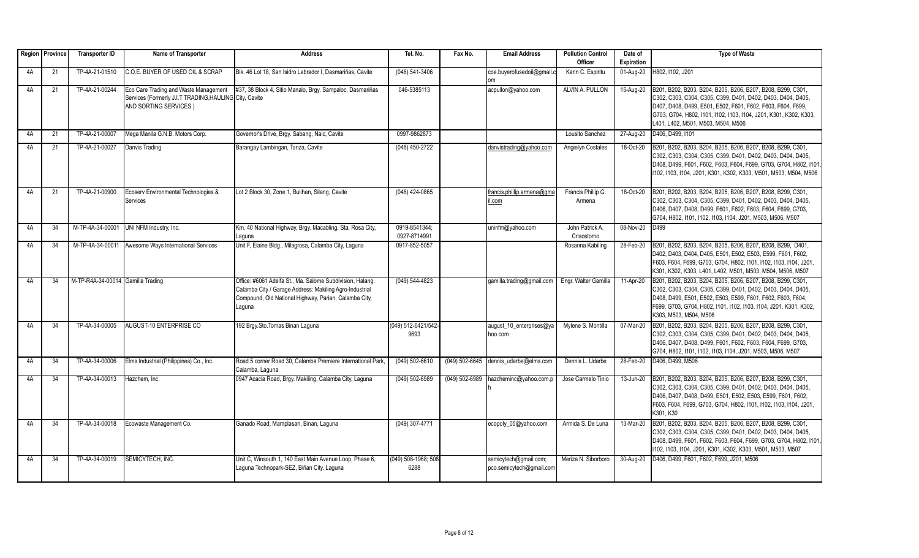|    | Region Province | <b>Transporter ID</b>             | Name of Transporter                                                                                                      | <b>Address</b>                                                                                                                                                                          | Tel. No.                      | Fax No.        | <b>Email Address</b>                              | <b>Pollution Control</b>      | Date of                 | <b>Type of Waste</b>                                                                                                                                                                                                                                                                                 |
|----|-----------------|-----------------------------------|--------------------------------------------------------------------------------------------------------------------------|-----------------------------------------------------------------------------------------------------------------------------------------------------------------------------------------|-------------------------------|----------------|---------------------------------------------------|-------------------------------|-------------------------|------------------------------------------------------------------------------------------------------------------------------------------------------------------------------------------------------------------------------------------------------------------------------------------------------|
|    |                 |                                   |                                                                                                                          |                                                                                                                                                                                         |                               |                |                                                   | Officer                       | <b>Expiration</b>       |                                                                                                                                                                                                                                                                                                      |
| 4A | 21              | TP-4A-21-01510                    | C.O.E. BUYER OF USED OIL & SCRAP                                                                                         | Blk. 46 Lot 18, San Isidro Labrador I, Dasmariñas, Cavite                                                                                                                               | $(046) 541 - 3406$            |                | coe.buyerofusedoil@gmail.c                        | Karin C. Espiritu             | 01-Aug-20               | H802, I102, J201                                                                                                                                                                                                                                                                                     |
| 4A | 21              | TP-4A-21-00244                    | Eco Care Trading and Waste Management<br>Services (Formerly J.I.T TRADING, HAULING City, Cavite<br>AND SORTING SERVICES) | #37, 38 Block 4, Sitio Manalo, Brgy. Sampaloc, Dasmariñas                                                                                                                               | 046-5385113                   |                | acpullon@yahoo.com                                | ALVIN A. PULLON               | 15-Aug-20               | B201, B202, B203, B204, B205, B206, B207, B208, B299, C301,<br>C302, C303, C304, C305, C399, D401, D402, D403, D404, D405,<br>D407, D408, D499, E501, E502, F601, F602, F603, F604, F699,<br>G703, G704, H802, I101, I102, I103, I104, J201, K301, K302, K303,<br>L401, L402, M501, M503, M504, M506 |
| 4A | 21              | TP-4A-21-00007                    | Mega Manila G.N.B. Motors Corp.                                                                                          | Governor's Drive, Brgy. Sabang, Naic, Cavite                                                                                                                                            | 0997-9862873                  |                |                                                   | Lousito Sanchez               | 27-Aug-20               | D406, D499, I101                                                                                                                                                                                                                                                                                     |
| 4A | 21              | TP-4A-21-00027                    | Danvis Trading                                                                                                           | Barangay Lambingan, Tanza, Cavite                                                                                                                                                       | (046) 450-2722                |                | danvistrading@yahoo.com                           | Angielyn Costales             | 18-Oct-20               | B201, B202, B203, B204, B205, B206, B207, B208, B299, C301,<br>C302, C303, C304, C305, C399, D401, D402, D403, D404, D405<br>D408, D499, F601, F602, F603, F604, F699, G703, G704, H802, I101<br>102, 1103, 1104, J201, K301, K302, K303, M501, M503, M504, M506                                     |
| 4A | 21              | TP-4A-21-00900                    | Ecoserv Environmental Technologies &<br>Services                                                                         | Lot 2 Block 30, Zone 1, Bulihan, Silang, Cavite                                                                                                                                         | $(046)$ 424-0865              |                | francis.phillip.armena@qma<br>il.com              | Francis Phillip G.<br>Armena  | 18-Oct-20               | B201, B202, B203, B204, B205, B206, B207, B208, B299, C301,<br>C302, C303, C304, C305, C399, D401, D402, D403, D404, D405,<br>D406, D407, D408, D499, F601, F602, F603, F604, F699, G703,<br>G704, H802, I101, I102, I103, I104, J201, M503, M506, M507                                              |
| 4A | 34              | M-TP-4A-34-00001                  | UNI NFM Industry, Inc.                                                                                                   | Km. 40 National Highway, Brgy. Macabling, Sta. Rosa City,<br>Laguna                                                                                                                     | 0919-8541344:<br>0927-8714991 |                | uninfm@yahoo.com                                  | John Patrick A.<br>Crisostomo | 08-Nov-20               | D499                                                                                                                                                                                                                                                                                                 |
| 4A | 34              | M-TP-4A-34-00011                  | Awesome Ways International Services                                                                                      | Unit F, Elaine Bldg., Milagrosa, Calamba City, Laguna                                                                                                                                   | 0917-852-5057                 |                |                                                   | Rosanna Kabiling              | 28-Feb-20               | B201, B202, B203, B204, B205, B206, B207, B208, B299, D401,<br>D402, D403, D404, D405, E501, E502, E503, E599, F601, F602,<br>F603, F604, F699, G703, G704, H802, I101, I102, I103, I104, J201,<br>K301, K302, K303, L401, L402, M501, M503, M504, M506, M507                                        |
| 4A | 34              | M-TP-R4A-34-00014 Gamilla Trading |                                                                                                                          | Office: #6061 Adelfa St., Ma. Salome Subdivision, Halang.<br>Calamba City / Garage Address: Makiling Agro-Industrial<br>Compound, Old National Highway, Parian, Calamba City,<br>Laquna | (049) 544-4823                |                | gamilla.trading@gmail.com                         | Engr. Walter Gamilla          | 11-Apr-20               | B201, B202, B203, B204, B205, B206, B207, B208, B299, C301,<br>C302, C303, C304, C305, C399, D401, D402, D403, D404, D405,<br>D408, D499, E501, E502, E503, E599, F601, F602, F603, F604,<br>F699, G703, G704, H802, I101, I102, I103, I104, J201, K301, K302,<br>K303, M503, M504, M506             |
| 4A | 34              | TP-4A-34-00005                    | AUGUST-10 ENTERPRISE CO                                                                                                  | 192 Brgy.Sto.Tomas Binan Laguna                                                                                                                                                         | (049) 512-6421/542<br>9693    |                | august_10_enterprises@ya<br>hoo.com               | Mylene S. Montilla            | 07-Mar-20               | B201, B202, B203, B204, B205, B206, B207, B208, B299, C301,<br>C302, C303, C304, C305, C399, D401, D402, D403, D404, D405,<br>D406, D407, D408, D499, F601, F602, F603, F604, F699, G703,<br>G704, H802, I101, I102, I103, I104, J201, M503, M506, M507                                              |
| 4A | 34              | TP-4A-34-00006                    | Elms Industrial (Philippines) Co., Inc.                                                                                  | Road 5 corner Road 30, Calamba Premiere International Park,<br>Calamba, Laguna                                                                                                          | $(049) 502 - 6610$            |                | $(049)$ 502-6645 dennis udarbe@elms.com           | Dennis L. Udarbe              | 28-Feb-20               | D406, D499, M506                                                                                                                                                                                                                                                                                     |
| 4A | 34              | TP-4A-34-00013                    | Hazchem, Inc.                                                                                                            | 0947 Acacia Road, Brgy. Makiling, Calamba City, Laguna                                                                                                                                  | (049) 502-6989                | (049) 502-6989 | hazcheminc@yahoo.com.p                            | Jose Carmelo Tinio            | 13-Jun-20               | B201, B202, B203, B204, B205, B206, B207, B208, B299, C301,<br>C302, C303, C304, C305, C399, D401, D402, D403, D404, D405,<br>D406, D407, D408, D499, E501, E502, E503, E599, F601, F602,<br>F603, F604, F699, G703, G704, H802, I101, I102, I103, I104, J201,<br>K301, K30                          |
| 4A | 34              | TP-4A-34-00018                    | Ecowaste Management Co.                                                                                                  | Ganado Road, Mamplasan, Binan, Laguna                                                                                                                                                   | (049) 307-4771                |                | ecopoly_05@yahoo.com                              | Armida S. De Luna             | $\overline{13}$ -Mar-20 | B201, B202, B203, B204, B205, B206, B207, B208, B299, C301,<br>C302, C303, C304, C305, C399, D401, D402, D403, D404, D405,<br>D408, D499, F601, F602, F603, F604, F699, G703, G704, H802, I101,<br>102, 1103, 1104, J201, K301, K302, K303, M501, M503, M507                                         |
| 4A | 34              | TP-4A-34-00019                    | SEMICYTECH. INC.                                                                                                         | Unit C. Winsouth 1, 140 East Main Avenue Loop, Phase 6.<br>Laguna Technopark-SEZ, Biñan City, Laguna                                                                                    | (049) 508-1968; 508<br>6288   |                | semicytech@qmail.com;<br>pco.semicytech@gmail.com | Meriza N. Siborboro           | 30-Aug-20               | D406, D499, F601, F602, F699, J201, M506                                                                                                                                                                                                                                                             |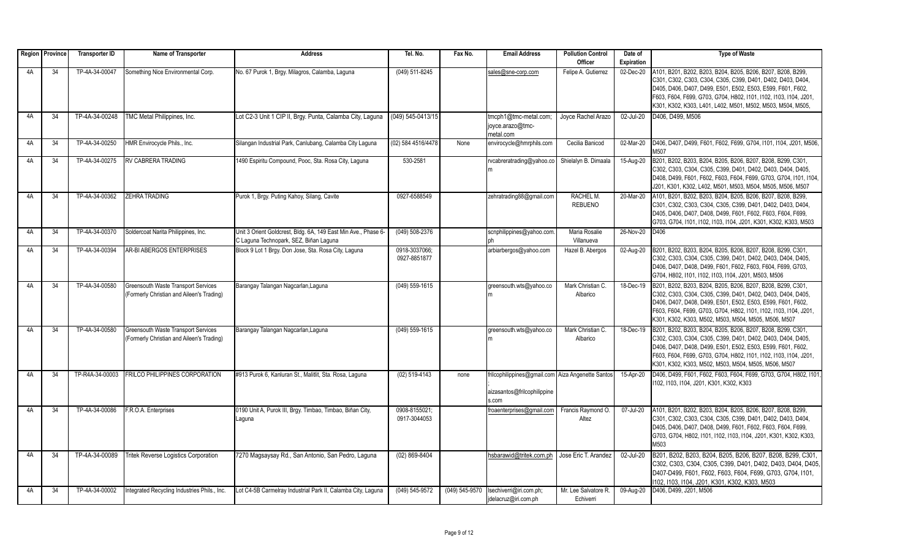|    | Region   Province | <b>Transporter ID</b> | Name of Transporter                                                                     | <b>Address</b>                                                                                           | Tel. No.                      | Fax No.        | <b>Email Address</b>                                                                      | <b>Pollution Control</b>           | Date of           | <b>Type of Waste</b>                                                                                                                                                                                                                                                                                                          |
|----|-------------------|-----------------------|-----------------------------------------------------------------------------------------|----------------------------------------------------------------------------------------------------------|-------------------------------|----------------|-------------------------------------------------------------------------------------------|------------------------------------|-------------------|-------------------------------------------------------------------------------------------------------------------------------------------------------------------------------------------------------------------------------------------------------------------------------------------------------------------------------|
|    |                   |                       |                                                                                         |                                                                                                          |                               |                |                                                                                           | Officer                            | <b>Expiration</b> |                                                                                                                                                                                                                                                                                                                               |
| 4A | $\overline{34}$   | TP-4A-34-00047        | Something Nice Environmental Corp.                                                      | No. 67 Purok 1, Brgy. Milagros, Calamba, Laguna                                                          | (049) 511-8245                |                | sales@sne-corp.com                                                                        | Felipe A. Gutierrez                | 02-Dec-20         | A101, B201, B202, B203, B204, B205, B206, B207, B208, B299,<br>C301, C302, C303, C304, C305, C399, D401, D402, D403, D404.<br>D405, D406, D407, D499, E501, E502, E503, E599, F601, F602,<br>F603, F604, F699, G703, G704, H802, I101, I102, I103, I104, J201,<br>K301, K302, K303, L401, L402, M501, M502, M503, M504, M505, |
| 4A | 34                | TP-4A-34-00248        | <b>TMC Metal Philippines, Inc.</b>                                                      | Lot C2-3 Unit 1 CIP II, Brgy. Punta, Calamba City, Laguna                                                | (049) 545-0413/15             |                | tmcph1@tmc-metal.com;<br>joyce.arazo@tmc-<br>metal.com                                    | Jovce Rachel Arazo                 | 02-Jul-20         | D406, D499, M506                                                                                                                                                                                                                                                                                                              |
| 4A | 34                | TP-4A-34-00250        | HMR Envirocycle Phils., Inc.                                                            | Silangan Industrial Park, Canlubang, Calamba City Laguna                                                 | (02) 584 4516/4478            | None           | envirocycle@hmrphils.com                                                                  | Cecilia Banicod                    | 02-Mar-20         | D406, D407, D499, F601, F602, F699, G704, I101, I104, J201, M506,<br>M507                                                                                                                                                                                                                                                     |
| 4A | 34                | TP-4A-34-00275        | RV CABRERA TRADING                                                                      | 1490 Espiritu Compound, Pooc, Sta. Rosa City, Laguna                                                     | 530-2581                      |                | rvcabreratrading@yahoo.co<br>Im                                                           | Shielalyn B. Dimaala               | 15-Aug-20         | B201, B202, B203, B204, B205, B206, B207, B208, B299, C301,<br>C302, C303, C304, C305, C399, D401, D402, D403, D404, D405,<br>D408, D499, F601, F602, F603, F604, F699, G703, G704, I101, I104,<br>J201, K301, K302, L402, M501, M503, M504, M505, M506, M507                                                                 |
| 4A | 34                | TP-4A-34-00362        | <b>ZEHRA TRADING</b>                                                                    | Purok 1, Brgy. Puting Kahoy, Silang, Cavite                                                              | 0927-6588549                  |                | zehratrading88@gmail.com                                                                  | <b>RACHEL M.</b><br><b>REBUENO</b> | 20-Mar-20         | A101, B201, B202, B203, B204, B205, B206, B207, B208, B299,<br>C301, C302, C303, C304, C305, C399, D401, D402, D403, D404.<br>D405, D406, D407, D408, D499, F601, F602, F603, F604, F699,<br>G703, G704, I101, I102, I103, I104, J201, K301, K302, K303, M503                                                                 |
| 4A | 34                | TP-4A-34-00370        | Soldercoat Narita Philippines, Inc.                                                     | Unit 3 Orient Goldcrest, Bldg. 6A, 149 East Min Ave., Phase 6-<br>C Laquna Technopark, SEZ, Biñan Laquna | (049) 508-2376                |                | scnphilippines@yahoo.com.                                                                 | Maria Rosalie<br>Villanueva        | 26-Nov-20         | D406                                                                                                                                                                                                                                                                                                                          |
| 4A | 34                | TP-4A-34-00394        | AR-BI ABERGOS ENTERPRISES                                                               | Block 9 Lot 1 Brgy. Don Jose, Sta. Rosa City, Laguna                                                     | 0918-3037066;<br>0927-8851877 |                | arbiarbergos@yahoo.com                                                                    | Hazel B. Abergos                   | 02-Aug-20         | B201, B202, B203, B204, B205, B206, B207, B208, B299, C301,<br>C302, C303, C304, C305, C399, D401, D402, D403, D404, D405,<br>D406, D407, D408, D499, F601, F602, F603, F604, F699, G703,<br>G704, H802, I101, I102, I103, I104, J201, M503, M506                                                                             |
| 4A | 34                | TP-4A-34-00580        | <b>Greensouth Waste Transport Services</b><br>(Formerly Christian and Aileen's Trading) | Barangay Talangan Nagcarlan, Laguna                                                                      | (049) 559-1615                |                | greensouth.wts@yahoo.co                                                                   | Mark Christian C.<br>Albarico      | 18-Dec-19         | B201, B202, B203, B204, B205, B206, B207, B208, B299, C301,<br>C302, C303, C304, C305, C399, D401, D402, D403, D404, D405,<br>D406, D407, D408, D499, E501, E502, E503, E599, F601, F602,<br>F603, F604, F699, G703, G704, H802, I101, I102, I103, I104, J201,<br>K301, K302, K303, M502, M503, M504, M505, M506, M507        |
| 4A | 34                | TP-4A-34-00580        | Greensouth Waste Transport Services<br>(Formerly Christian and Aileen's Trading)        | Barangay Talangan Nagcarlan, Laguna                                                                      | $(049) 559-1615$              |                | greensouth.wts@yahoo.co                                                                   | Mark Christian C.<br>Albarico      | 18-Dec-19         | B201, B202, B203, B204, B205, B206, B207, B208, B299, C301,<br>C302, C303, C304, C305, C399, D401, D402, D403, D404, D405,<br>D406, D407, D408, D499, E501, E502, E503, E599, F601, F602,<br>F603, F604, F699, G703, G704, H802, I101, I102, I103, I104, J201,<br>K301, K302, K303, M502, M503, M504, M505, M506, M507        |
| 4A | 34                | TP-R4A-34-00003       | <b>FRILCO PHILIPPINES CORPORATION</b>                                                   | #913 Purok 6, Kanluran St., Malitlit, Sta. Rosa, Laguna                                                  | $(02)$ 519-4143               | none           | frilcophilippines@gmail.com Aiza Angenette Santos<br>aizasantos@frilcophilippine<br>s.com |                                    | 15-Apr-20         | D406, D499, F601, F602, F603, F604, F699, G703, G704, H802, I101<br>1102, 1103, 1104, J201, K301, K302, K303                                                                                                                                                                                                                  |
| 4A | 34                | TP-4A-34-00086        | F.R.O.A. Enterprises                                                                    | 0190 Unit A, Purok III, Brgy. Timbao, Timbao, Biñan City,<br>Laguna                                      | 0908-8155021<br>0917-3044053  |                | froaenterprises@gmail.com                                                                 | Francis Raymond O<br>Altez         | 07-Jul-20         | A101. B201. B202. B203. B204. B205. B206. B207. B208. B299.<br>C301, C302, C303, C304, C305, C399, D401, D402, D403, D404,<br>D405, D406, D407, D408, D499, F601, F602, F603, F604, F699,<br>G703, G704, H802, I101, I102, I103, I104, J201, K301, K302, K303<br>M503                                                         |
| 4A | 34                | TP-4A-34-00089        | <b>Tritek Reverse Logistics Corporation</b>                                             | 7270 Magsaysay Rd., San Antonio, San Pedro, Laguna                                                       | $(02) 869 - 8404$             |                | hsbarawid@tritek.com.ph                                                                   | Jose Eric T. Arandez               | 02-Jul-20         | B201, B202, B203, B204, B205, B206, B207, B208, B299, C301,<br>C302, C303, C304, C305, C399, D401, D402, D403, D404, D405.<br>D407-D499, F601, F602, F603, F604, F699, G703, G704, I101,<br>I102, I103, I104, J201, K301, K302, K303, M503                                                                                    |
| 4A | 34                | TP-4A-34-00002        | Integrated Recycling Industries Phils., Inc.                                            | Lot C4-5B Carmelray Industrial Park II, Calamba City, Laguna                                             | (049) 545-9572                | (049) 545-9570 | Isechiverri@iri.com.ph;<br>idelacruz@iri.com.ph                                           | Mr. Lee Salvatore R.<br>Echiverri  | 09-Aug-20         | D406, D499, J201, M506                                                                                                                                                                                                                                                                                                        |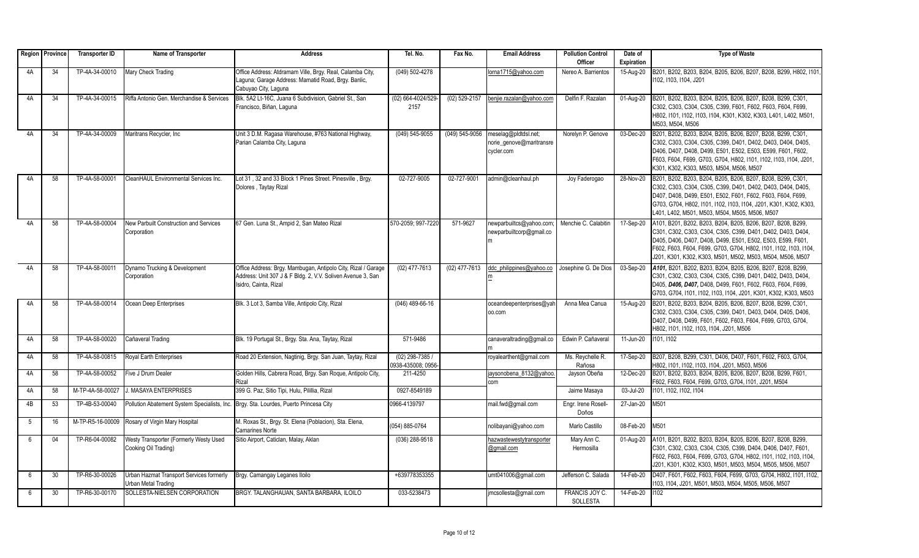|    | Region   Province | <b>Transporter ID</b> | Name of Transporter                                                                   | <b>Address</b>                                                                                                                                        | Tel. No.                             | Fax No.        | <b>Email Address</b>                                           | <b>Pollution Control</b><br>Officer | Date of<br><b>Expiration</b> | <b>Type of Waste</b>                                                                                                                                                                                                                                                                                                         |
|----|-------------------|-----------------------|---------------------------------------------------------------------------------------|-------------------------------------------------------------------------------------------------------------------------------------------------------|--------------------------------------|----------------|----------------------------------------------------------------|-------------------------------------|------------------------------|------------------------------------------------------------------------------------------------------------------------------------------------------------------------------------------------------------------------------------------------------------------------------------------------------------------------------|
| 4A | 34                | TP-4A-34-00010        | Mary Check Trading                                                                    | Office Address: Atdramam Ville, Brgy. Real, Calamba City,                                                                                             | (049) 502-4278                       |                | lorna1715@yahoo.com                                            | Nereo A. Barrientos                 | 15-Aug-20                    | B201, B202, B203, B204, B205, B206, B207, B208, B299, H802, I101                                                                                                                                                                                                                                                             |
|    |                   |                       |                                                                                       | Laguna; Garage Address: Mamatid Road, Brgy. Banlic,<br>Cabuyao City, Laquna                                                                           |                                      |                |                                                                |                                     |                              | 102. I103. I104. J201                                                                                                                                                                                                                                                                                                        |
| 4A | 34                | TP-4A-34-00015        | Riffa Antonio Gen. Merchandise & Services                                             | Blk. 5A2 Lt-16C, Juana 6 Subdivision, Gabriel St., San<br>Francisco, Biñan, Laguna                                                                    | (02) 664-4024/529-<br>2157           | (02) 529-2157  | benjie.razalan@yahoo.com                                       | Delfin F. Razalan                   | 01-Aug-20                    | B201, B202, B203, B204, B205, B206, B207, B208, B299, C301,<br>C302, C303, C304, C305, C399, F601, F602, F603, F604, F699,<br>H802, I101, I102, I103, I104, K301, K302, K303, L401, L402, M501,<br>M503, M504, M506                                                                                                          |
| 4A | 34                | TP-4A-34-00009        | Maritrans Recycler, Inc.                                                              | Unit 3 D.M. Ragasa Warehouse, #763 National Highway,<br>Parian Calamba City, Laguna                                                                   | (049) 545-9055                       | (049) 545-9056 | meselag@pldtdsl.net;<br>norie genove@maritransre<br>cycler.com | Norelyn P. Genove                   | 03-Dec-20                    | B201, B202, B203, B204, B205, B206, B207, B208, B299, C301,<br>C302, C303, C304, C305, C399, D401, D402, D403, D404, D405,<br>D406, D407, D408, D499, E501, E502, E503, E599, F601, F602,<br>F603, F604, F699, G703, G704, H802, I101, I102, I103, I104, J201,<br>K301, K302, K303, M503, M504, M506, M507                   |
| 4A | 58                | TP-4A-58-00001        | CleanHAUL Environmental Services Inc.                                                 | Lot 31, 32 and 33 Block 1 Pines Street. Pinesville, Brgy.<br>Dolores, Taytay Rizal                                                                    | 02-727-9005                          | 02-727-9001    | admin@cleanhaul.ph                                             | Joy Faderogao                       | 28-Nov-20                    | B201, B202, B203, B204, B205, B206, B207, B208, B299, C301,<br>C302, C303, C304, C305, C399, D401, D402, D403, D404, D405,<br>D407, D408, D499, E501, E502, F601, F602, F603, F604, F699,<br>G703, G704, H802, I101, I102, I103, I104, J201, K301, K302, K303,<br>L401, L402, M501, M503, M504, M505, M506, M507             |
| 4A | 58                | TP-4A-58-00004        | New Parbuilt Construction and Services<br>Corporation                                 | 67 Gen. Luna St., Ampid 2, San Mateo Rizal                                                                                                            | 570-2059: 997-7220                   | 571-9627       | newparbuiltcs@yahoo.com;<br>newparbuiltcorp@gmail.co           | Menchie C. Calabitin                | 17-Sep-20                    | A101, B201, B202, B203, B204, B205, B206, B207, B208, B299,<br>C301, C302, C303, C304, C305, C399, D401, D402, D403, D404,<br>D405, D406, D407, D408, D499, E501, E502, E503, E599, F601,<br>F602, F603, F604, F699, G703, G704, H802, I101, I102, I103, I104,<br>J201, K301, K302, K303, M501, M502, M503, M504, M506, M507 |
| 4A | 58                | TP-4A-58-00011        | Dynamo Trucking & Development<br>Corporation                                          | Office Address: Brgy. Mambugan, Antipolo City, Rizal / Garage<br>Address: Unit 307 J & F Bldg. 2, V.V. Soliven Avenue 3, San<br>Isidro, Cainta, Rizal | (02) 477-7613                        | (02) 477-7613  | ddc_philippines@yahoo.co                                       | Josephine G. De Dios                | 03-Sep-20                    | A101, B201, B202, B203, B204, B205, B206, B207, B208, B299,<br>C301, C302, C303, C304, C305, C399, D401, D402, D403, D404,<br>D405, D406, D407, D408, D499, F601, F602, F603, F604, F699,<br>G703, G704, I101, I102, I103, I104, J201, K301, K302, K303, M503                                                                |
| 4A | 58                | TP-4A-58-00014        | Ocean Deep Enterprises                                                                | Blk. 3 Lot 3, Samba Ville, Antipolo City, Rizal                                                                                                       | $(046)$ 489-66-16                    |                | oceandeepenterprises@yah<br>oo.com                             | Anna Mea Canua                      | 15-Aug-20                    | B201, B202, B203, B204, B205, B206, B207, B208, B299, C301,<br>C302, C303, C304, C305, C399, D401, D403, D404, D405, D406,<br>D407, D408, D499, F601, F602, F603, F604, F699, G703, G704,<br>H802, I101, I102, I103, I104, J201, M506                                                                                        |
| 4A | 58                | TP-4A-58-00020        | Cañaveral Trading                                                                     | Blk. 19 Portugal St., Brgy. Sta. Ana, Taytay, Rizal                                                                                                   | 571-9486                             |                | canaveraltrading@gmail.co                                      | Edwin P. Cañaveral                  | 11-Jun-20                    | 1101.1102                                                                                                                                                                                                                                                                                                                    |
| 4A | 58                | TP-4A-58-00815        | Royal Earth Enterprises                                                               | Road 20 Extension, Nagtinig, Brgy. San Juan, Taytay, Rizal                                                                                            | (02) 298-7385 /<br>0938-435008: 0956 |                | royalearthent@gmail.com                                        | Ms. Reychelle R.<br>Rañosa          | 17-Sep-20                    | B207, B208, B299, C301, D406, D407, F601, F602, F603, G704,<br>H802, I101, I102, I103, I104, J201, M503, M506                                                                                                                                                                                                                |
| 4A | 58                | TP-4A-58-00052        | Five J Drum Dealer                                                                    | Golden Hills, Cabrera Road, Brgy. San Roque, Antipolo City,<br>Rizal                                                                                  | 211-4250                             |                | jaysonobena 8132@yahoo.<br>com                                 | Jayson Obeña                        | 12-Dec-20                    | B201, B202, B203, B204, B205, B206, B207, B208, B299, F601,<br>F602, F603, F604, F699, G703, G704, I101, J201, M504                                                                                                                                                                                                          |
| 4A | 58                | M-TP-4A-58-00027      | <b>J. MASAYA ENTERPRISES</b>                                                          | 399 G. Paz, Sitio Tipi, Hulu, Pilillia, Rizal                                                                                                         | 0927-8549189                         |                |                                                                | Jaime Masaya                        | 03-Jul-20                    | 1101, 1102, 1102, 1104                                                                                                                                                                                                                                                                                                       |
| 4B | 53                | TP-4B-53-00040        | Pollution Abatement System Specialists, Inc. Brgy. Sta. Lourdes, Puerto Princesa City |                                                                                                                                                       | 0966-4139797                         |                | mail.fwd@gmail.com                                             | Engr. Irene Rosell-<br>Doños        | 27-Jan-20                    | M501                                                                                                                                                                                                                                                                                                                         |
| 5  | 16                |                       | M-TP-R5-16-00009 Rosary of Virgin Mary Hospital                                       | M. Roxas St., Brgy. St. Elena (Poblacion), Sta. Elena,<br><b>Camarines Norte</b>                                                                      | (054) 885-0764                       |                | nolibayani@yahoo.com                                           | Marlo Castillo                      | 08-Feb-20                    | M501                                                                                                                                                                                                                                                                                                                         |
| 6  | 04                | TP-R6-04-00082        | Westy Transporter (Formerly Westy Used<br>Cooking Oil Trading)                        | Sitio Airport, Caticlan, Malay, Aklan                                                                                                                 | (036) 288-9518                       |                | hazwastewestytransporter<br>@gmail.com                         | Mary Ann C.<br>Hermosilla           | 01-Aug-20                    | A101, B201, B202, B203, B204, B205, B206, B207, B208, B299,<br>C301, C302, C303, C304, C305, C399, D404, D406, D407, F601,<br>F602, F603, F604, F699, G703, G704, H802, I101, I102, I103, I104,<br>J201, K301, K302, K303, M501, M503, M504, M505, M506, M507                                                                |
| 6  | 30                | TP-R6-30-00026        | Urban Hazmat Transport Services formerly<br>Urban Metal Trading                       | Brgy. Camangay Leganes Iloilo                                                                                                                         | +639778353355                        |                | umt041006@gmail.com                                            | Jefferson C. Salada                 | 14-Feb-20                    | D407, F601, F602, F603, F604, F699, G703, G704, H802, I101, I102,<br>103, I104, J201, M501, M503, M504, M505, M506, M507                                                                                                                                                                                                     |
| 6  | 30                | TP-R6-30-00170        | SOLLESTA-NIELSEN CORPORATION                                                          | BRGY, TALANGHAUAN, SANTA BARBARA, ILOILO                                                                                                              | 033-5238473                          |                | jmcsollesta@gmail.com                                          | FRANCIS JOY C.<br><b>SOLLESTA</b>   | 14-Feb-20                    | 102                                                                                                                                                                                                                                                                                                                          |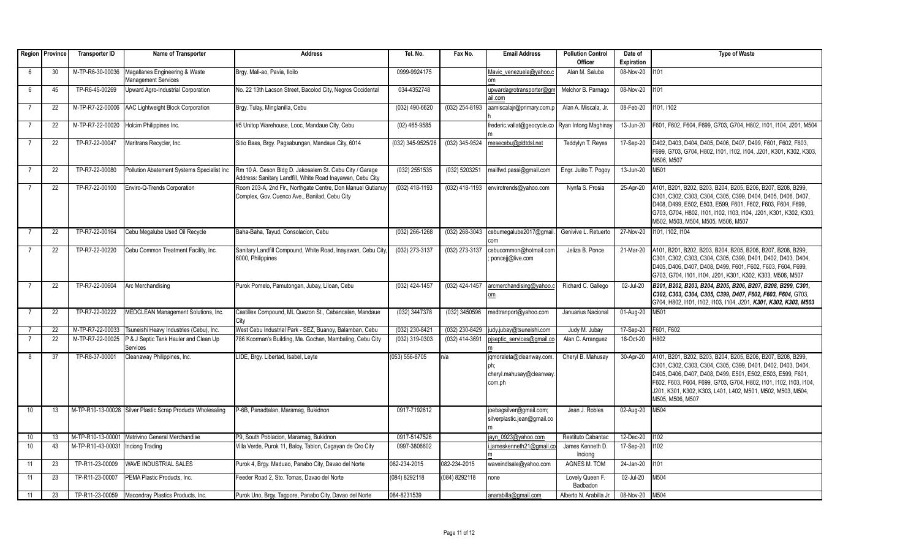|                 | Region   Province | <b>Transporter ID</b> | Name of Transporter                                         | <b>Address</b>                                                                                                        | Tel. No.          | Fax No.          | <b>Email Address</b>                                                   | <b>Pollution Control</b>    | Date of        | <b>Type of Waste</b>                                                                                                                                                                                                                                                                                                                              |
|-----------------|-------------------|-----------------------|-------------------------------------------------------------|-----------------------------------------------------------------------------------------------------------------------|-------------------|------------------|------------------------------------------------------------------------|-----------------------------|----------------|---------------------------------------------------------------------------------------------------------------------------------------------------------------------------------------------------------------------------------------------------------------------------------------------------------------------------------------------------|
|                 |                   |                       |                                                             |                                                                                                                       |                   |                  |                                                                        | Officer                     | Expiration     |                                                                                                                                                                                                                                                                                                                                                   |
| 6               | 30                | M-TP-R6-30-00036      | Magallanes Engineering & Waste<br>Management Services       | Brgy. Mali-ao, Pavia, Iloilo                                                                                          | 0999-9924175      |                  | Mavic venezuela@vahoo.c<br>om                                          | Alan M. Saluba              | 08-Nov-20      | 1101                                                                                                                                                                                                                                                                                                                                              |
| 6               | 45                | TP-R6-45-00269        | Upward Agro-Industrial Corporation                          | No. 22 13th Lacson Street, Bacolod City, Negros Occidental                                                            | 034-4352748       |                  | upwardagrotransporter@gm<br>ail.com                                    | Melchor B. Parnago          | 08-Nov-20      | 1101                                                                                                                                                                                                                                                                                                                                              |
| $\overline{7}$  | 22                |                       | M-TP-R7-22-00006 AAC Lightweight Block Corporation          | Brgy. Tulay, Minglanilla, Cebu                                                                                        | $(032)$ 490-6620  | $(032)$ 254-8193 | aamiscalajr@primary.com.p                                              | Alan A. Miscala, Jr.        | 08-Feb-20      | 1101, 1102                                                                                                                                                                                                                                                                                                                                        |
| $\overline{7}$  | 22                | M-TP-R7-22-00020      | Holcim Philippines Inc.                                     | #5 Unitop Warehouse, Looc, Mandaue City, Cebu                                                                         | $(02)$ 465-9585   |                  | frederic.vallat@geocycle.co   Ryan Intong Maghinay                     |                             | 13-Jun-20      | F601, F602, F604, F699, G703, G704, H802, I101, I104, J201, M504                                                                                                                                                                                                                                                                                  |
| $\overline{7}$  | 22                | TP-R7-22-00047        | Maritrans Recycler, Inc.                                    | Sitio Baas, Brgy. Pagsabungan, Mandaue City, 6014                                                                     | (032) 345-9525/26 | (032) 345-9524   | mesecebu@pldtdsl.net                                                   | Teddylyn T. Reyes           | 17-Sep-20      | D402, D403, D404, D405, D406, D407, D499, F601, F602, F603,<br>F699, G703, G704, H802, I101, I102, I104, J201, K301, K302, K303,<br>M506. M507                                                                                                                                                                                                    |
| $\overline{7}$  | 22                | TP-R7-22-00080        | Pollution Abatement Systems Specialist Inc                  | Rm 10 A. Geson Bldg D. Jakosalem St. Cebu City / Garage<br>Address: Sanitary Landfill, White Road Inayawan, Cebu City | (032) 2551535     | (032) 5203251    | mailfwd.passi@gmail.com                                                | Engr. Julito T. Pogoy       | 13-Jun-20      | M501                                                                                                                                                                                                                                                                                                                                              |
| $\overline{7}$  | 22                | TP-R7-22-00100        | Enviro-Q-Trends Corporation                                 | Room 203-A, 2nd Flr., Northgate Centre, Don Manuel Gutianuy<br>Complex, Gov. Cuenco Ave., Banilad, Cebu City          | (032) 418-1193    | (032) 418-1193   | envirotrends@yahoo.com                                                 | Nynfa S. Prosia             | 25-Apr-20      | A101, B201, B202, B203, B204, B205, B206, B207, B208, B299,<br>C301, C302, C303, C304, C305, C399, D404, D405, D406, D407,<br>D408, D499, E502, E503, E599, F601, F602, F603, F604, F699,<br>G703, G704, H802, I101, I102, I103, I104, J201, K301, K302, K303,<br>M502, M503, M504, M505, M506, M507                                              |
|                 | 22                | TP-R7-22-00164        | Cebu Megalube Used Oil Recycle                              | Baha-Baha, Tayud, Consolacion, Cebu                                                                                   | (032) 266-1268    | (032) 268-3043   | cebumegalube2017@gmail.                                                | Genivive L. Retuerto        | 27-Nov-20      | 1101, 1102, 1104                                                                                                                                                                                                                                                                                                                                  |
|                 | 22                | TP-R7-22-00220        | Cebu Common Treatment Facility, Inc.                        | Sanitary Landfill Compound, White Road, Inayawan, Cebu City,<br>6000, Philippines                                     | (032) 273-3137    | (032) 273-3137   | cebucommon@hotmail.com<br>poncejj@live.com                             | Jeliza B. Ponce             | 21-Mar-20      | A101, B201, B202, B203, B204, B205, B206, B207, B208, B299,<br>C301, C302, C303, C304, C305, C399, D401, D402, D403, D404,<br>D405, D406, D407, D408, D499, F601, F602, F603, F604, F699,<br>G703, G704, I101, I104, J201, K301, K302, K303, M506, M507                                                                                           |
|                 | 22                | TP-R7-22-00604        | Arc Merchandising                                           | Purok Pomelo, Pamutongan, Jubay, Liloan, Cebu                                                                         | (032) 424-1457    | (032) 424-1457   | arcmerchandising@yahoo.c<br>om                                         | Richard C. Gallego          | 02-Jul-20      | B201, B202, B203, B204, B205, B206, B207, B208, B299, C301,<br>C302, C303, C304, C305, C399, D407, F602, F603, F604, G703,<br>G704, H802, I101, I102, I103, I104, J201, K301, K302, K303, M503                                                                                                                                                    |
| $\overline{7}$  | 22                | TP-R7-22-00222        | MEDCLEAN Management Solutions, Inc.                         | Castillex Compound, ML Quezon St., Cabancalan, Mandaue<br>City                                                        | (032) 3447378     | (032) 3450596    | medtranport@yahoo.com                                                  | Januarius Nacional          | 01-Aug-20      | M501                                                                                                                                                                                                                                                                                                                                              |
| $\overline{7}$  | 22                | M-TP-R7-22-00033      | Tsuneishi Heavy Industries (Cebu), Inc.                     | West Cebu Industrial Park - SEZ, Buanoy, Balamban, Cebu                                                               | (032) 230-8421    | (032) 230-8429   | judy.jubay@tsuneishi.com                                               | Judy M. Jubay               | 17-Sep-20      | F601, F602                                                                                                                                                                                                                                                                                                                                        |
| $\overline{7}$  | 22                | M-TP-R7-22-00025      | P & J Septic Tank Hauler and Clean Up<br>Services           | 786 Kcorman's Building, Ma. Gochan, Mambaling, Cebu City                                                              | (032) 319-0303    | (032) 414-3691   | piseptic services@gmail.co                                             | Alan C. Arranquez           | 18-Oct-20      | H802                                                                                                                                                                                                                                                                                                                                              |
| 8               | 37                | TP-R8-37-00001        | Cleanaway Philippines, Inc.                                 | LIDE, Brgy. Libertad, Isabel, Leyte                                                                                   | (053) 556-8705    | n/a              | jqmoraleta@cleanway.com.<br>lph:<br>cheryl.mahusay@cleanway.<br>com.ph | Cheryl B. Mahusay           | 30-Apr-20      | A101, B201, B202, B203, B204, B205, B206, B207, B208, B299,<br>C301, C302, C303, C304, C305, C399, D401, D402, D403, D404,<br>D405, D406, D407, D408, D499, E501, E502, E503, E599, F601,<br>F602, F603, F604, F699, G703, G704, H802, I101, I102, I103, I104,<br>J201, K301, K302, K303, L401, L402, M501, M502, M503, M504,<br>M505, M506, M507 |
| 10 <sup>°</sup> | 13                |                       | M-TP-R10-13-00028 Silver Plastic Scrap Products Wholesaling | P-6B, Panadtalan, Maramag, Bukidnon                                                                                   | 0917-7192612      |                  | joebagsilver@gmail.com;<br>silverplastic.jean@gmail.co                 | Jean J. Robles              | 02-Aug-20      | M504                                                                                                                                                                                                                                                                                                                                              |
| 10              | 13                |                       | M-TP-R10-13-00001 Matrivino General Merchandise             | P9, South Poblacion, Maramag, Bukidnon                                                                                | 0917-5147526      |                  | jayn 0923@yahoo.com                                                    | Restituto Cabantac          | 12-Dec-20      | 1102                                                                                                                                                                                                                                                                                                                                              |
| 10              | 43                | M-TP-R10-43-00031     | Inciong Trading                                             | Villa Verde, Purok 11, Baloy, Tablon, Cagayan de Oro City                                                             | 0997-3806602      |                  | i.jameskenneth21@gmail.co                                              | James Kenneth D.<br>Inciong | 17-Sep-20      | 102                                                                                                                                                                                                                                                                                                                                               |
| 11              | 23                | TP-R11-23-00009       | <b>WAVE INDUSTRIAL SALES</b>                                | Purok 4, Brgy. Maduao, Panabo City, Davao del Norte                                                                   | 082-234-2015      | 082-234-2015     | waveindlsale@yahoo.com                                                 | AGNES M. TOM                | 24-Jan-20      | 1101                                                                                                                                                                                                                                                                                                                                              |
| 11              | 23                | TP-R11-23-00007       | PEMA Plastic Products, Inc.                                 | Feeder Road 2, Sto. Tomas, Davao del Norte                                                                            | (084) 8292118     | (084) 8292118    | none                                                                   | Lovely Queen F.<br>Badbadon | 02-Jul-20      | M504                                                                                                                                                                                                                                                                                                                                              |
| 11              | 23                |                       | TP-R11-23-00059 Macondray Plastics Products, Inc.           | Purok Uno, Brgy. Tagpore, Panabo City, Davao del Norte                                                                | 084-8231539       |                  | anarabilla@gmail.com                                                   | Alberto N. Arabilla Jr.     | 08-Nov-20 M504 |                                                                                                                                                                                                                                                                                                                                                   |